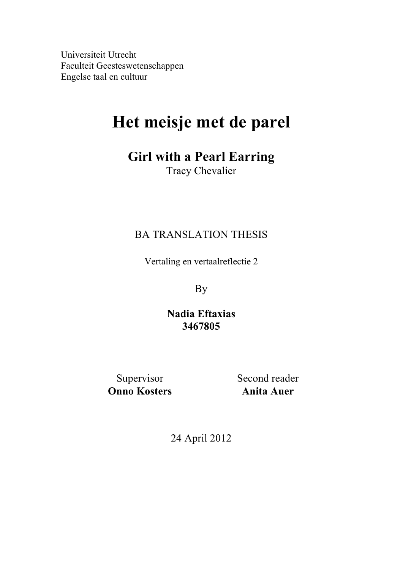Universiteit Utrecht Faculteit Geesteswetenschappen Engelse taal en cultuur

# **Het meisje met de parel**

**Girl with a Pearl Earring**

Tracy Chevalier

# BA TRANSLATION THESIS

Vertaling en vertaalreflectie 2

By

**Nadia Eftaxias 3467805**

Supervisor **Onno Kosters** Second reader **Anita Auer**

24 April 2012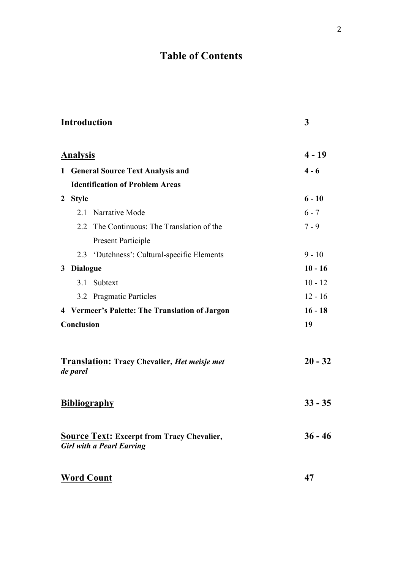# **Table of Contents**

|                                                                                       | <b>Introduction</b>                                             | 3         |
|---------------------------------------------------------------------------------------|-----------------------------------------------------------------|-----------|
|                                                                                       | <b>Analysis</b>                                                 | $4 - 19$  |
| $\mathbf{1}$                                                                          | <b>General Source Text Analysis and</b>                         | $4 - 6$   |
|                                                                                       | <b>Identification of Problem Areas</b>                          |           |
| $\mathbf{2}$                                                                          | <b>Style</b>                                                    | $6 - 10$  |
|                                                                                       | Narrative Mode<br>2.1                                           | $6 - 7$   |
|                                                                                       | The Continuous: The Translation of the<br>2.2                   | $7 - 9$   |
|                                                                                       | <b>Present Participle</b>                                       |           |
|                                                                                       | 2.3 'Dutchness': Cultural-specific Elements                     | $9 - 10$  |
|                                                                                       | 3 Dialogue                                                      | $10 - 16$ |
|                                                                                       | Subtext<br>3.1                                                  | $10 - 12$ |
|                                                                                       | 3.2 Pragmatic Particles                                         | $12 - 16$ |
|                                                                                       | 4 Vermeer's Palette: The Translation of Jargon                  | $16 - 18$ |
|                                                                                       | Conclusion                                                      | 19        |
|                                                                                       | <b>Translation: Tracy Chevalier, Het meisje met</b><br>de parel | $20 - 32$ |
|                                                                                       | <b>Bibliography</b>                                             | $33 - 35$ |
| <b>Source Text: Excerpt from Tracy Chevalier,</b><br><b>Girl with a Pearl Earring</b> |                                                                 | $36 - 46$ |
|                                                                                       | <b>Word Count</b>                                               | 47        |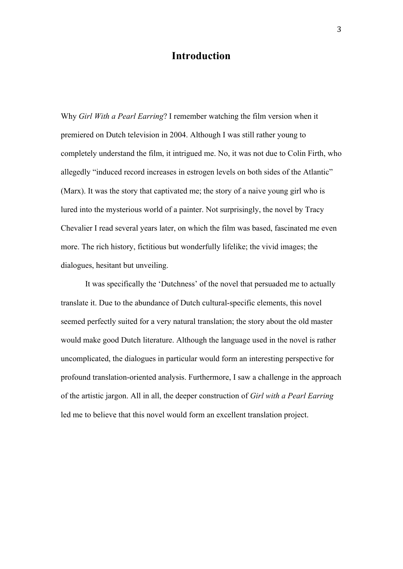## **Introduction**

Why *Girl With a Pearl Earring*? I remember watching the film version when it premiered on Dutch television in 2004. Although I was still rather young to completely understand the film, it intrigued me. No, it was not due to Colin Firth, who allegedly "induced record increases in estrogen levels on both sides of the Atlantic" (Marx). It was the story that captivated me; the story of a naive young girl who is lured into the mysterious world of a painter. Not surprisingly, the novel by Tracy Chevalier I read several years later, on which the film was based, fascinated me even more. The rich history, fictitious but wonderfully lifelike; the vivid images; the dialogues, hesitant but unveiling.

It was specifically the 'Dutchness' of the novel that persuaded me to actually translate it. Due to the abundance of Dutch cultural-specific elements, this novel seemed perfectly suited for a very natural translation; the story about the old master would make good Dutch literature. Although the language used in the novel is rather uncomplicated, the dialogues in particular would form an interesting perspective for profound translation-oriented analysis. Furthermore, I saw a challenge in the approach of the artistic jargon. All in all, the deeper construction of *Girl with a Pearl Earring* led me to believe that this novel would form an excellent translation project.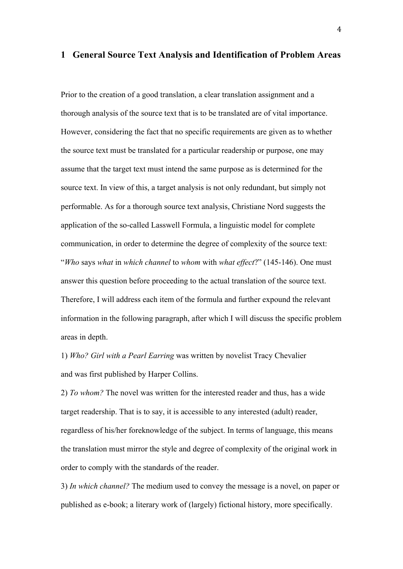#### **1 General Source Text Analysis and Identification of Problem Areas**

Prior to the creation of a good translation, a clear translation assignment and a thorough analysis of the source text that is to be translated are of vital importance. However, considering the fact that no specific requirements are given as to whether the source text must be translated for a particular readership or purpose, one may assume that the target text must intend the same purpose as is determined for the source text. In view of this, a target analysis is not only redundant, but simply not performable. As for a thorough source text analysis, Christiane Nord suggests the application of the so-called Lasswell Formula, a linguistic model for complete communication, in order to determine the degree of complexity of the source text: "*Who* says *what* in *which channel* to *whom* with *what effect*?" (145-146). One must answer this question before proceeding to the actual translation of the source text. Therefore, I will address each item of the formula and further expound the relevant information in the following paragraph, after which I will discuss the specific problem areas in depth.

1) *Who? Girl with a Pearl Earring* was written by novelist Tracy Chevalier and was first published by Harper Collins.

2) *To whom?* The novel was written for the interested reader and thus, has a wide target readership. That is to say, it is accessible to any interested (adult) reader, regardless of his/her foreknowledge of the subject. In terms of language, this means the translation must mirror the style and degree of complexity of the original work in order to comply with the standards of the reader.

3) *In which channel?* The medium used to convey the message is a novel, on paper or published as e-book; a literary work of (largely) fictional history, more specifically.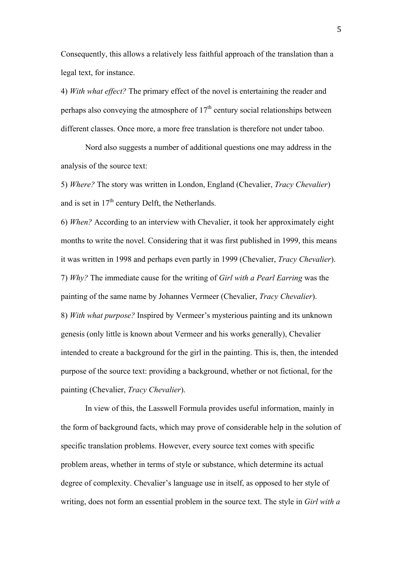Consequently, this allows a relatively less faithful approach of the translation than a legal text, for instance.

4) *With what effect?* The primary effect of the novel is entertaining the reader and perhaps also conveving the atmosphere of  $17<sup>th</sup>$  century social relationships between different classes. Once more, a more free translation is therefore not under taboo.

Nord also suggests a number of additional questions one may address in the analysis of the source text:

5) *Where?* The story was written in London, England (Chevalier, *Tracy Chevalier*) and is set in  $17<sup>th</sup>$  century Delft, the Netherlands.

6) *When?* According to an interview with Chevalier, it took her approximately eight months to write the novel. Considering that it was first published in 1999, this means it was written in 1998 and perhaps even partly in 1999 (Chevalier, *Tracy Chevalier*). 7) *Why?* The immediate cause for the writing of *Girl with a Pearl Earring* was the painting of the same name by Johannes Vermeer (Chevalier, *Tracy Chevalier*). 8) *With what purpose?* Inspired by Vermeer's mysterious painting and its unknown genesis (only little is known about Vermeer and his works generally), Chevalier intended to create a background for the girl in the painting. This is, then, the intended purpose of the source text: providing a background, whether or not fictional, for the painting (Chevalier, *Tracy Chevalier*).

In view of this, the Lasswell Formula provides useful information, mainly in the form of background facts, which may prove of considerable help in the solution of specific translation problems. However, every source text comes with specific problem areas, whether in terms of style or substance, which determine its actual degree of complexity. Chevalier's language use in itself, as opposed to her style of writing, does not form an essential problem in the source text. The style in *Girl with a*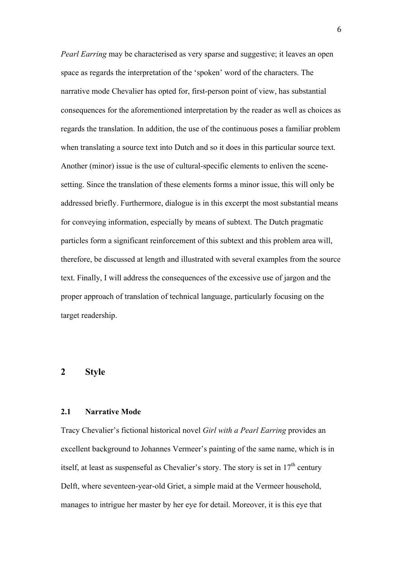*Pearl Earring* may be characterised as very sparse and suggestive; it leaves an open space as regards the interpretation of the 'spoken' word of the characters. The narrative mode Chevalier has opted for, first-person point of view, has substantial consequences for the aforementioned interpretation by the reader as well as choices as regards the translation. In addition, the use of the continuous poses a familiar problem when translating a source text into Dutch and so it does in this particular source text. Another (minor) issue is the use of cultural-specific elements to enliven the scenesetting. Since the translation of these elements forms a minor issue, this will only be addressed briefly. Furthermore, dialogue is in this excerpt the most substantial means for conveying information, especially by means of subtext. The Dutch pragmatic particles form a significant reinforcement of this subtext and this problem area will, therefore, be discussed at length and illustrated with several examples from the source text. Finally, I will address the consequences of the excessive use of jargon and the proper approach of translation of technical language, particularly focusing on the target readership.

#### **2 Style**

#### **2.1 Narrative Mode**

Tracy Chevalier's fictional historical novel *Girl with a Pearl Earring* provides an excellent background to Johannes Vermeer's painting of the same name, which is in itself, at least as suspenseful as Chevalier's story. The story is set in  $17<sup>th</sup>$  century Delft, where seventeen-year-old Griet, a simple maid at the Vermeer household, manages to intrigue her master by her eye for detail. Moreover, it is this eye that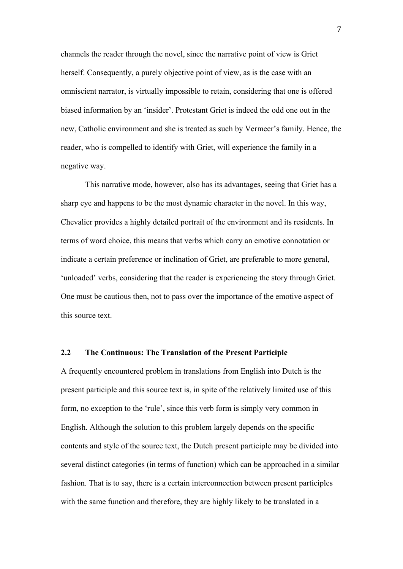channels the reader through the novel, since the narrative point of view is Griet herself. Consequently, a purely objective point of view, as is the case with an omniscient narrator, is virtually impossible to retain, considering that one is offered biased information by an 'insider'. Protestant Griet is indeed the odd one out in the new, Catholic environment and she is treated as such by Vermeer's family. Hence, the reader, who is compelled to identify with Griet, will experience the family in a negative way.

This narrative mode, however, also has its advantages, seeing that Griet has a sharp eye and happens to be the most dynamic character in the novel. In this way, Chevalier provides a highly detailed portrait of the environment and its residents. In terms of word choice, this means that verbs which carry an emotive connotation or indicate a certain preference or inclination of Griet, are preferable to more general, 'unloaded' verbs, considering that the reader is experiencing the story through Griet. One must be cautious then, not to pass over the importance of the emotive aspect of this source text.

#### **2.2 The Continuous: The Translation of the Present Participle**

A frequently encountered problem in translations from English into Dutch is the present participle and this source text is, in spite of the relatively limited use of this form, no exception to the 'rule', since this verb form is simply very common in English. Although the solution to this problem largely depends on the specific contents and style of the source text, the Dutch present participle may be divided into several distinct categories (in terms of function) which can be approached in a similar fashion. That is to say, there is a certain interconnection between present participles with the same function and therefore, they are highly likely to be translated in a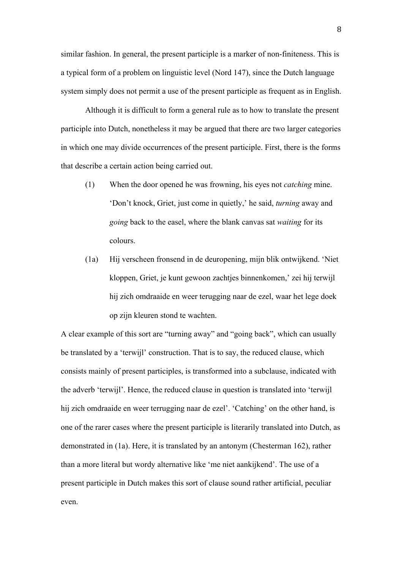similar fashion. In general, the present participle is a marker of non-finiteness. This is a typical form of a problem on linguistic level (Nord 147), since the Dutch language system simply does not permit a use of the present participle as frequent as in English.

Although it is difficult to form a general rule as to how to translate the present participle into Dutch, nonetheless it may be argued that there are two larger categories in which one may divide occurrences of the present participle. First, there is the forms that describe a certain action being carried out.

- (1) When the door opened he was frowning, his eyes not *catching* mine. 'Don't knock, Griet, just come in quietly,' he said, *turning* away and *going* back to the easel, where the blank canvas sat *waiting* for its colours.
- (1a) Hij verscheen fronsend in de deuropening, mijn blik ontwijkend. 'Niet kloppen, Griet, je kunt gewoon zachtjes binnenkomen,' zei hij terwijl hij zich omdraaide en weer terugging naar de ezel, waar het lege doek op zijn kleuren stond te wachten.

A clear example of this sort are "turning away" and "going back", which can usually be translated by a 'terwijl' construction. That is to say, the reduced clause, which consists mainly of present participles, is transformed into a subclause, indicated with the adverb 'terwijl'. Hence, the reduced clause in question is translated into 'terwijl hij zich omdraaide en weer terrugging naar de ezel'. 'Catching' on the other hand, is one of the rarer cases where the present participle is literarily translated into Dutch, as demonstrated in (1a). Here, it is translated by an antonym (Chesterman 162), rather than a more literal but wordy alternative like 'me niet aankijkend'. The use of a present participle in Dutch makes this sort of clause sound rather artificial, peculiar even.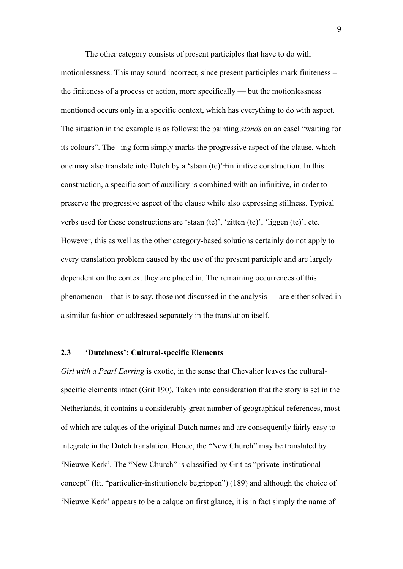The other category consists of present participles that have to do with motionlessness. This may sound incorrect, since present participles mark finiteness – the finiteness of a process or action, more specifically — but the motionlessness mentioned occurs only in a specific context, which has everything to do with aspect. The situation in the example is as follows: the painting *stands* on an easel "waiting for its colours". The –ing form simply marks the progressive aspect of the clause, which one may also translate into Dutch by a 'staan (te)'+infinitive construction. In this construction, a specific sort of auxiliary is combined with an infinitive, in order to preserve the progressive aspect of the clause while also expressing stillness. Typical verbs used for these constructions are 'staan (te)', 'zitten (te)', 'liggen (te)', etc. However, this as well as the other category-based solutions certainly do not apply to every translation problem caused by the use of the present participle and are largely dependent on the context they are placed in. The remaining occurrences of this phenomenon – that is to say, those not discussed in the analysis — are either solved in a similar fashion or addressed separately in the translation itself.

#### **2.3 'Dutchness': Cultural-specific Elements**

*Girl with a Pearl Earring* is exotic, in the sense that Chevalier leaves the culturalspecific elements intact (Grit 190). Taken into consideration that the story is set in the Netherlands, it contains a considerably great number of geographical references, most of which are calques of the original Dutch names and are consequently fairly easy to integrate in the Dutch translation. Hence, the "New Church" may be translated by 'Nieuwe Kerk'. The "New Church" is classified by Grit as "private-institutional concept" (lit. "particulier-institutionele begrippen") (189) and although the choice of 'Nieuwe Kerk' appears to be a calque on first glance, it is in fact simply the name of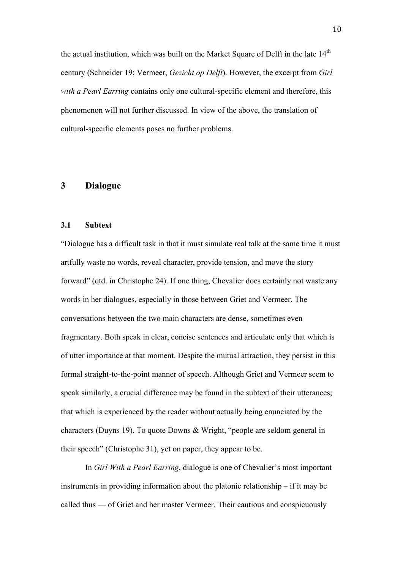the actual institution, which was built on the Market Square of Delft in the late  $14<sup>th</sup>$ century (Schneider 19; Vermeer, *Gezicht op Delft*). However, the excerpt from *Girl with a Pearl Earring* contains only one cultural-specific element and therefore, this phenomenon will not further discussed. In view of the above, the translation of cultural-specific elements poses no further problems.

### **3 Dialogue**

#### **3.1 Subtext**

"Dialogue has a difficult task in that it must simulate real talk at the same time it must artfully waste no words, reveal character, provide tension, and move the story forward" (qtd. in Christophe 24). If one thing, Chevalier does certainly not waste any words in her dialogues, especially in those between Griet and Vermeer. The conversations between the two main characters are dense, sometimes even fragmentary. Both speak in clear, concise sentences and articulate only that which is of utter importance at that moment. Despite the mutual attraction, they persist in this formal straight-to-the-point manner of speech. Although Griet and Vermeer seem to speak similarly, a crucial difference may be found in the subtext of their utterances; that which is experienced by the reader without actually being enunciated by the characters (Duyns 19). To quote Downs & Wright, "people are seldom general in their speech" (Christophe 31), yet on paper, they appear to be.

In *Girl With a Pearl Earring*, dialogue is one of Chevalier's most important instruments in providing information about the platonic relationship – if it may be called thus — of Griet and her master Vermeer. Their cautious and conspicuously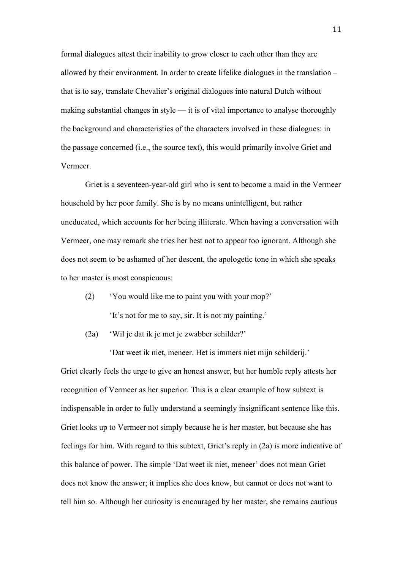formal dialogues attest their inability to grow closer to each other than they are allowed by their environment. In order to create lifelike dialogues in the translation – that is to say, translate Chevalier's original dialogues into natural Dutch without making substantial changes in style — it is of vital importance to analyse thoroughly the background and characteristics of the characters involved in these dialogues: in the passage concerned (i.e., the source text), this would primarily involve Griet and Vermeer.

Griet is a seventeen-year-old girl who is sent to become a maid in the Vermeer household by her poor family. She is by no means unintelligent, but rather uneducated, which accounts for her being illiterate. When having a conversation with Vermeer, one may remark she tries her best not to appear too ignorant. Although she does not seem to be ashamed of her descent, the apologetic tone in which she speaks to her master is most conspicuous:

- (2) 'You would like me to paint you with your mop?' 'It's not for me to say, sir. It is not my painting.'
- (2a) 'Wil je dat ik je met je zwabber schilder?'

'Dat weet ik niet, meneer. Het is immers niet mijn schilderij.' Griet clearly feels the urge to give an honest answer, but her humble reply attests her recognition of Vermeer as her superior. This is a clear example of how subtext is indispensable in order to fully understand a seemingly insignificant sentence like this. Griet looks up to Vermeer not simply because he is her master, but because she has feelings for him. With regard to this subtext, Griet's reply in (2a) is more indicative of this balance of power. The simple 'Dat weet ik niet, meneer' does not mean Griet does not know the answer; it implies she does know, but cannot or does not want to tell him so. Although her curiosity is encouraged by her master, she remains cautious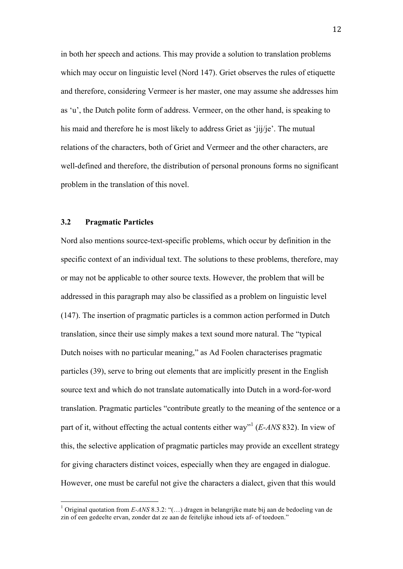in both her speech and actions. This may provide a solution to translation problems which may occur on linguistic level (Nord 147). Griet observes the rules of etiquette and therefore, considering Vermeer is her master, one may assume she addresses him as 'u', the Dutch polite form of address. Vermeer, on the other hand, is speaking to his maid and therefore he is most likely to address Griet as 'jij/je'. The mutual relations of the characters, both of Griet and Vermeer and the other characters, are well-defined and therefore, the distribution of personal pronouns forms no significant problem in the translation of this novel.

#### **3.2 Pragmatic Particles**

Nord also mentions source-text-specific problems, which occur by definition in the specific context of an individual text. The solutions to these problems, therefore, may or may not be applicable to other source texts. However, the problem that will be addressed in this paragraph may also be classified as a problem on linguistic level (147). The insertion of pragmatic particles is a common action performed in Dutch translation, since their use simply makes a text sound more natural. The "typical Dutch noises with no particular meaning," as Ad Foolen characterises pragmatic particles (39), serve to bring out elements that are implicitly present in the English source text and which do not translate automatically into Dutch in a word-for-word translation. Pragmatic particles "contribute greatly to the meaning of the sentence or a part of it, without effecting the actual contents either way"1 (*E-ANS* 832). In view of this, the selective application of pragmatic particles may provide an excellent strategy for giving characters distinct voices, especially when they are engaged in dialogue. However, one must be careful not give the characters a dialect, given that this would

 <sup>1</sup> Original quotation from *E-ANS* 8.3.2: "(…) dragen in belangrijke mate bij aan de bedoeling van de zin of een gedeelte ervan, zonder dat ze aan de feitelijke inhoud iets af- of toedoen."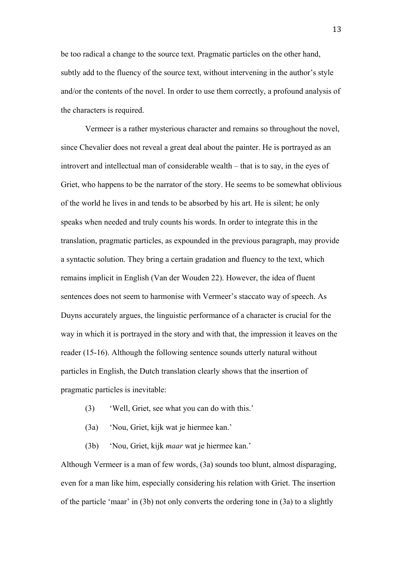be too radical a change to the source text. Pragmatic particles on the other hand, subtly add to the fluency of the source text, without intervening in the author's style and/or the contents of the novel. In order to use them correctly, a profound analysis of the characters is required.

Vermeer is a rather mysterious character and remains so throughout the novel, since Chevalier does not reveal a great deal about the painter. He is portrayed as an introvert and intellectual man of considerable wealth – that is to say, in the eyes of Griet, who happens to be the narrator of the story. He seems to be somewhat oblivious of the world he lives in and tends to be absorbed by his art. He is silent; he only speaks when needed and truly counts his words. In order to integrate this in the translation, pragmatic particles, as expounded in the previous paragraph, may provide a syntactic solution. They bring a certain gradation and fluency to the text, which remains implicit in English (Van der Wouden 22). However, the idea of fluent sentences does not seem to harmonise with Vermeer's staccato way of speech. As Duyns accurately argues, the linguistic performance of a character is crucial for the way in which it is portrayed in the story and with that, the impression it leaves on the reader (15-16). Although the following sentence sounds utterly natural without particles in English, the Dutch translation clearly shows that the insertion of pragmatic particles is inevitable:

- (3) 'Well, Griet, see what you can do with this.'
- (3a) 'Nou, Griet, kijk wat je hiermee kan.'
- (3b) 'Nou, Griet, kijk *maar* wat je hiermee kan.'

Although Vermeer is a man of few words, (3a) sounds too blunt, almost disparaging, even for a man like him, especially considering his relation with Griet. The insertion of the particle 'maar' in (3b) not only converts the ordering tone in (3a) to a slightly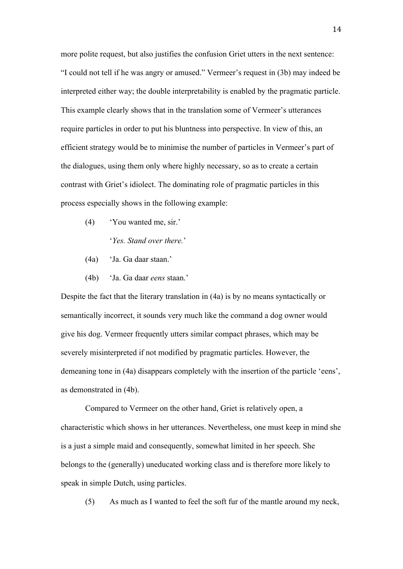more polite request, but also justifies the confusion Griet utters in the next sentence: "I could not tell if he was angry or amused." Vermeer's request in (3b) may indeed be interpreted either way; the double interpretability is enabled by the pragmatic particle. This example clearly shows that in the translation some of Vermeer's utterances require particles in order to put his bluntness into perspective. In view of this, an efficient strategy would be to minimise the number of particles in Vermeer's part of the dialogues, using them only where highly necessary, so as to create a certain contrast with Griet's idiolect. The dominating role of pragmatic particles in this process especially shows in the following example:

(4) 'You wanted me, sir.'

'*Yes. Stand over there.*'

- (4a) 'Ja. Ga daar staan.'
- (4b) 'Ja. Ga daar *eens* staan.'

Despite the fact that the literary translation in (4a) is by no means syntactically or semantically incorrect, it sounds very much like the command a dog owner would give his dog. Vermeer frequently utters similar compact phrases, which may be severely misinterpreted if not modified by pragmatic particles. However, the demeaning tone in (4a) disappears completely with the insertion of the particle 'eens', as demonstrated in (4b).

Compared to Vermeer on the other hand, Griet is relatively open, a characteristic which shows in her utterances. Nevertheless, one must keep in mind she is a just a simple maid and consequently, somewhat limited in her speech. She belongs to the (generally) uneducated working class and is therefore more likely to speak in simple Dutch, using particles.

(5) As much as I wanted to feel the soft fur of the mantle around my neck,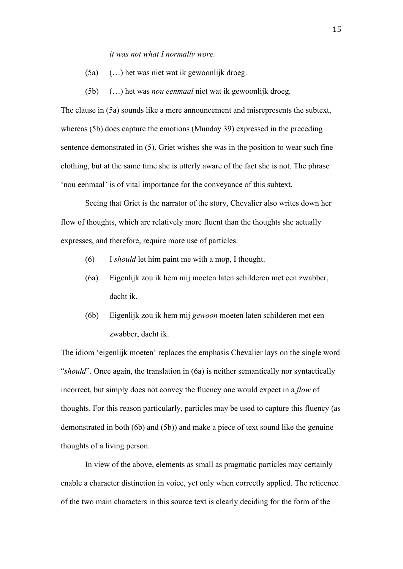*it was not what I normally wore.*

- (5a) (…) het was niet wat ik gewoonlijk droeg.
- (5b) (…) het was *nou eenmaal* niet wat ik gewoonlijk droeg.

The clause in (5a) sounds like a mere announcement and misrepresents the subtext, whereas (5b) does capture the emotions (Munday 39) expressed in the preceding sentence demonstrated in (5). Griet wishes she was in the position to wear such fine clothing, but at the same time she is utterly aware of the fact she is not. The phrase 'nou eenmaal' is of vital importance for the conveyance of this subtext.

Seeing that Griet is the narrator of the story, Chevalier also writes down her flow of thoughts, which are relatively more fluent than the thoughts she actually expresses, and therefore, require more use of particles.

- (6) I *should* let him paint me with a mop, I thought.
- (6a) Eigenlijk zou ik hem mij moeten laten schilderen met een zwabber, dacht ik.
- (6b) Eigenlijk zou ik hem mij *gewoon* moeten laten schilderen met een zwabber, dacht ik.

The idiom 'eigenlijk moeten' replaces the emphasis Chevalier lays on the single word "*should*". Once again, the translation in (6a) is neither semantically nor syntactically incorrect, but simply does not convey the fluency one would expect in a *flow* of thoughts. For this reason particularly, particles may be used to capture this fluency (as demonstrated in both (6b) and (5b)) and make a piece of text sound like the genuine thoughts of a living person.

In view of the above, elements as small as pragmatic particles may certainly enable a character distinction in voice, yet only when correctly applied. The reticence of the two main characters in this source text is clearly deciding for the form of the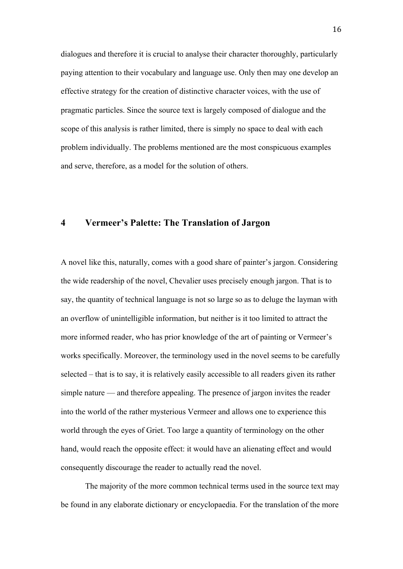dialogues and therefore it is crucial to analyse their character thoroughly, particularly paying attention to their vocabulary and language use. Only then may one develop an effective strategy for the creation of distinctive character voices, with the use of pragmatic particles. Since the source text is largely composed of dialogue and the scope of this analysis is rather limited, there is simply no space to deal with each problem individually. The problems mentioned are the most conspicuous examples and serve, therefore, as a model for the solution of others.

### **4 Vermeer's Palette: The Translation of Jargon**

A novel like this, naturally, comes with a good share of painter's jargon. Considering the wide readership of the novel, Chevalier uses precisely enough jargon. That is to say, the quantity of technical language is not so large so as to deluge the layman with an overflow of unintelligible information, but neither is it too limited to attract the more informed reader, who has prior knowledge of the art of painting or Vermeer's works specifically. Moreover, the terminology used in the novel seems to be carefully selected – that is to say, it is relatively easily accessible to all readers given its rather simple nature — and therefore appealing. The presence of jargon invites the reader into the world of the rather mysterious Vermeer and allows one to experience this world through the eyes of Griet. Too large a quantity of terminology on the other hand, would reach the opposite effect: it would have an alienating effect and would consequently discourage the reader to actually read the novel.

The majority of the more common technical terms used in the source text may be found in any elaborate dictionary or encyclopaedia. For the translation of the more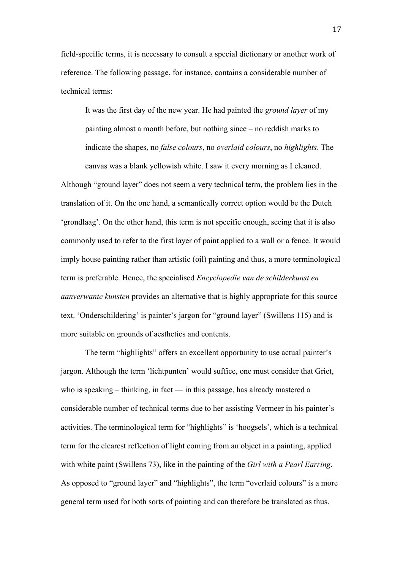field-specific terms, it is necessary to consult a special dictionary or another work of reference. The following passage, for instance, contains a considerable number of technical terms:

It was the first day of the new year. He had painted the *ground layer* of my painting almost a month before, but nothing since – no reddish marks to indicate the shapes, no *false colours*, no *overlaid colours*, no *highlights*. The canvas was a blank yellowish white. I saw it every morning as I cleaned.

Although "ground layer" does not seem a very technical term, the problem lies in the translation of it. On the one hand, a semantically correct option would be the Dutch 'grondlaag'. On the other hand, this term is not specific enough, seeing that it is also commonly used to refer to the first layer of paint applied to a wall or a fence. It would imply house painting rather than artistic (oil) painting and thus, a more terminological term is preferable. Hence, the specialised *Encyclopedie van de schilderkunst en aanverwante kunsten* provides an alternative that is highly appropriate for this source text. 'Onderschildering' is painter's jargon for "ground layer" (Swillens 115) and is more suitable on grounds of aesthetics and contents.

The term "highlights" offers an excellent opportunity to use actual painter's jargon. Although the term 'lichtpunten' would suffice, one must consider that Griet, who is speaking – thinking, in fact — in this passage, has already mastered a considerable number of technical terms due to her assisting Vermeer in his painter's activities. The terminological term for "highlights" is 'hoogsels', which is a technical term for the clearest reflection of light coming from an object in a painting, applied with white paint (Swillens 73), like in the painting of the *Girl with a Pearl Earring*. As opposed to "ground layer" and "highlights", the term "overlaid colours" is a more general term used for both sorts of painting and can therefore be translated as thus.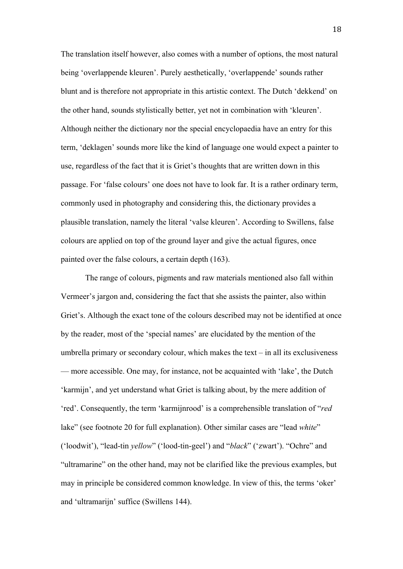The translation itself however, also comes with a number of options, the most natural being 'overlappende kleuren'. Purely aesthetically, 'overlappende' sounds rather blunt and is therefore not appropriate in this artistic context. The Dutch 'dekkend' on the other hand, sounds stylistically better, yet not in combination with 'kleuren'. Although neither the dictionary nor the special encyclopaedia have an entry for this term, 'deklagen' sounds more like the kind of language one would expect a painter to use, regardless of the fact that it is Griet's thoughts that are written down in this passage. For 'false colours' one does not have to look far. It is a rather ordinary term, commonly used in photography and considering this, the dictionary provides a plausible translation, namely the literal 'valse kleuren'. According to Swillens, false colours are applied on top of the ground layer and give the actual figures, once painted over the false colours, a certain depth (163).

The range of colours, pigments and raw materials mentioned also fall within Vermeer's jargon and, considering the fact that she assists the painter, also within Griet's. Although the exact tone of the colours described may not be identified at once by the reader, most of the 'special names' are elucidated by the mention of the umbrella primary or secondary colour, which makes the text – in all its exclusiveness — more accessible. One may, for instance, not be acquainted with 'lake', the Dutch 'karmijn', and yet understand what Griet is talking about, by the mere addition of 'red'. Consequently, the term 'karmijnrood' is a comprehensible translation of "*red* lake" (see footnote 20 for full explanation). Other similar cases are "lead *white*" ('loodwit'), "lead-tin *yellow*" ('lood-tin-geel') and "*black*" ('zwart'). "Ochre" and "ultramarine" on the other hand, may not be clarified like the previous examples, but may in principle be considered common knowledge. In view of this, the terms 'oker' and 'ultramarijn' suffice (Swillens 144).

18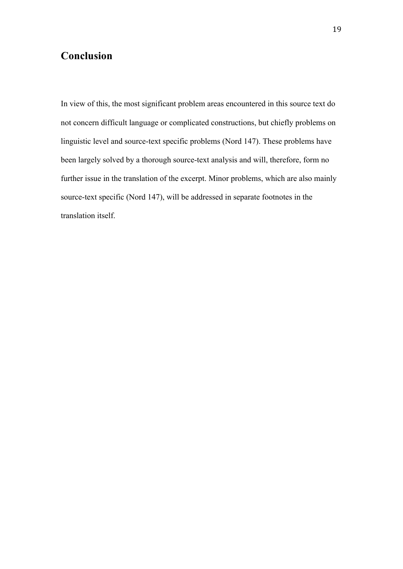# **Conclusion**

In view of this, the most significant problem areas encountered in this source text do not concern difficult language or complicated constructions, but chiefly problems on linguistic level and source-text specific problems (Nord 147). These problems have been largely solved by a thorough source-text analysis and will, therefore, form no further issue in the translation of the excerpt. Minor problems, which are also mainly source-text specific (Nord 147), will be addressed in separate footnotes in the translation itself.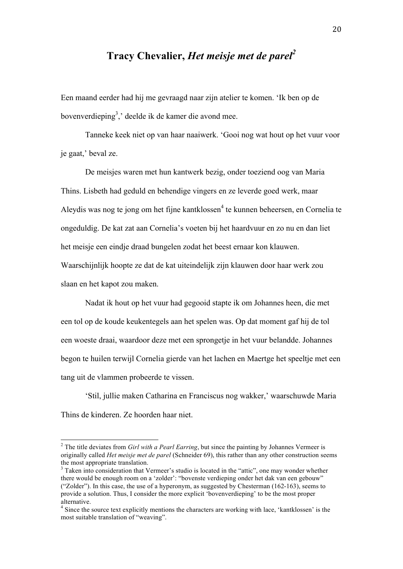# **Tracy Chevalier,** *Het meisje met de parel<sup>2</sup>*

Een maand eerder had hij me gevraagd naar zijn atelier te komen. 'Ik ben op de bovenverdieping<sup>3</sup>, deelde ik de kamer die avond mee.

Tanneke keek niet op van haar naaiwerk. 'Gooi nog wat hout op het vuur voor je gaat,' beval ze.

De meisjes waren met hun kantwerk bezig, onder toeziend oog van Maria Thins. Lisbeth had geduld en behendige vingers en ze leverde goed werk, maar Aleydis was nog te jong om het fijne kantklossen<sup>4</sup> te kunnen beheersen, en Cornelia te ongeduldig. De kat zat aan Cornelia's voeten bij het haardvuur en zo nu en dan liet het meisje een eindje draad bungelen zodat het beest ernaar kon klauwen.

Waarschijnlijk hoopte ze dat de kat uiteindelijk zijn klauwen door haar werk zou slaan en het kapot zou maken.

Nadat ik hout op het vuur had gegooid stapte ik om Johannes heen, die met een tol op de koude keukentegels aan het spelen was. Op dat moment gaf hij de tol een woeste draai, waardoor deze met een sprongetje in het vuur belandde. Johannes begon te huilen terwijl Cornelia gierde van het lachen en Maertge het speeltje met een tang uit de vlammen probeerde te vissen.

'Stil, jullie maken Catharina en Franciscus nog wakker,' waarschuwde Maria Thins de kinderen. Ze hoorden haar niet.

 <sup>2</sup> The title deviates from *Girl with a Pearl Earring*, but since the painting by Johannes Vermeer is originally called *Het meisje met de parel* (Schneider 69), this rather than any other construction seems the most appropriate translation.

<sup>&</sup>lt;sup>3</sup> Taken into consideration that Vermeer's studio is located in the "attic", one may wonder whether there would be enough room on a 'zolder': "bovenste verdieping onder het dak van een gebouw" ("Zolder"). In this case, the use of a hyperonym, as suggested by Chesterman (162-163), seems to provide a solution. Thus, I consider the more explicit 'bovenverdieping' to be the most proper alternative.

<sup>&</sup>lt;sup>4</sup> Since the source text explicitly mentions the characters are working with lace, 'kantklossen' is the most suitable translation of "weaving".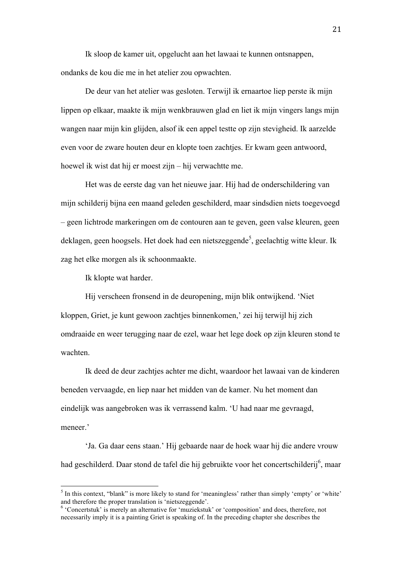Ik sloop de kamer uit, opgelucht aan het lawaai te kunnen ontsnappen, ondanks de kou die me in het atelier zou opwachten.

De deur van het atelier was gesloten. Terwijl ik ernaartoe liep perste ik mijn lippen op elkaar, maakte ik mijn wenkbrauwen glad en liet ik mijn vingers langs mijn wangen naar mijn kin glijden, alsof ik een appel testte op zijn stevigheid. Ik aarzelde even voor de zware houten deur en klopte toen zachtjes. Er kwam geen antwoord, hoewel ik wist dat hij er moest zijn – hij verwachtte me.

Het was de eerste dag van het nieuwe jaar. Hij had de onderschildering van mijn schilderij bijna een maand geleden geschilderd, maar sindsdien niets toegevoegd – geen lichtrode markeringen om de contouren aan te geven, geen valse kleuren, geen deklagen, geen hoogsels. Het doek had een nietszeggende<sup>5</sup>, geelachtig witte kleur. Ik zag het elke morgen als ik schoonmaakte.

Ik klopte wat harder.

Hij verscheen fronsend in de deuropening, mijn blik ontwijkend. 'Niet kloppen, Griet, je kunt gewoon zachtjes binnenkomen,' zei hij terwijl hij zich omdraaide en weer terugging naar de ezel, waar het lege doek op zijn kleuren stond te wachten.

Ik deed de deur zachtjes achter me dicht, waardoor het lawaai van de kinderen beneden vervaagde, en liep naar het midden van de kamer. Nu het moment dan eindelijk was aangebroken was ik verrassend kalm. 'U had naar me gevraagd, meneer<sup>?</sup>

'Ja. Ga daar eens staan.' Hij gebaarde naar de hoek waar hij die andere vrouw had geschilderd. Daar stond de tafel die hij gebruikte voor het concertschilderij<sup>6</sup>, maar

<sup>&</sup>lt;sup>5</sup> In this context, "blank" is more likely to stand for 'meaningless' rather than simply 'empty' or 'white' and therefore the proper translation is 'nietszeggende'.

<sup>6</sup> 'Concertstuk' is merely an alternative for 'muziekstuk' or 'composition' and does, therefore, not necessarily imply it is a painting Griet is speaking of. In the preceding chapter she describes the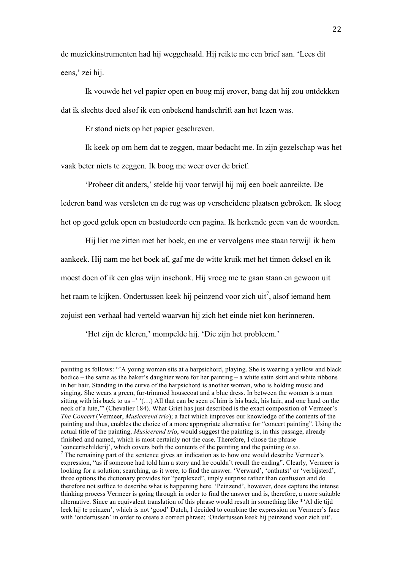de muziekinstrumenten had hij weggehaald. Hij reikte me een brief aan. 'Lees dit eens,' zei hij.

Ik vouwde het vel papier open en boog mij erover, bang dat hij zou ontdekken dat ik slechts deed alsof ik een onbekend handschrift aan het lezen was.

Er stond niets op het papier geschreven.

Ik keek op om hem dat te zeggen, maar bedacht me. In zijn gezelschap was het vaak beter niets te zeggen. Ik boog me weer over de brief.

'Probeer dit anders,' stelde hij voor terwijl hij mij een boek aanreikte. De lederen band was versleten en de rug was op verscheidene plaatsen gebroken. Ik sloeg het op goed geluk open en bestudeerde een pagina. Ik herkende geen van de woorden.

Hij liet me zitten met het boek, en me er vervolgens mee staan terwijl ik hem aankeek. Hij nam me het boek af, gaf me de witte kruik met het tinnen deksel en ik moest doen of ik een glas wijn inschonk. Hij vroeg me te gaan staan en gewoon uit het raam te kijken. Ondertussen keek hij peinzend voor zich uit<sup>7</sup>, alsof iemand hem zojuist een verhaal had verteld waarvan hij zich het einde niet kon herinneren.

'Het zijn de kleren,' mompelde hij. 'Die zijn het probleem.'

<u> 2002 - Andrea San Andrew Maria (h. 1888).</u><br>2003 - Andrew Maria (h. 1882).

painting as follows: "'A young woman sits at a harpsichord, playing. She is wearing a yellow and black bodice – the same as the baker's daughter wore for her painting – a white satin skirt and white ribbons in her hair. Standing in the curve of the harpsichord is another woman, who is holding music and singing. She wears a green, fur-trimmed housecoat and a blue dress. In between the women is a man sitting with his back to us –' '(...) All that can be seen of him is his back, his hair, and one hand on the neck of a lute,'" (Chevalier 184). What Griet has just described is the exact composition of Vermeer's *The Concert* (Vermeer, *Musicerend trio*); a fact which improves our knowledge of the contents of the painting and thus, enables the choice of a more appropriate alternative for "concert painting". Using the actual title of the painting, *Musicerend trio*, would suggest the painting is, in this passage, already finished and named, which is most certainly not the case. Therefore, I chose the phrase

<sup>&#</sup>x27;concertschilderij', which covers both the contents of the painting and the painting *in se*. <sup>7</sup> The remaining part of the sentence gives an indication as to how one would describe Vermeer's expression, "as if someone had told him a story and he couldn't recall the ending". Clearly, Vermeer is looking for a solution; searching, as it were, to find the answer. 'Verward', 'onthutst' or 'verbijsterd', three options the dictionary provides for "perplexed", imply surprise rather than confusion and do therefore not suffice to describe what is happening here. 'Peinzend', however, does capture the intense thinking process Vermeer is going through in order to find the answer and is, therefore, a more suitable alternative. Since an equivalent translation of this phrase would result in something like \*'Al die tijd leek hij te peinzen', which is not 'good' Dutch, I decided to combine the expression on Vermeer's face with 'ondertussen' in order to create a correct phrase: 'Ondertussen keek hij peinzend voor zich uit'.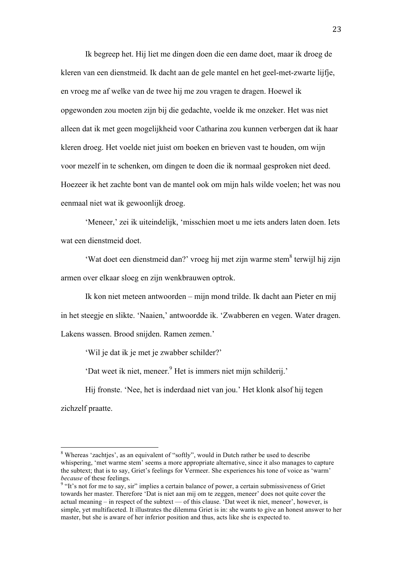Ik begreep het. Hij liet me dingen doen die een dame doet, maar ik droeg de kleren van een dienstmeid. Ik dacht aan de gele mantel en het geel-met-zwarte lijfje, en vroeg me af welke van de twee hij me zou vragen te dragen. Hoewel ik opgewonden zou moeten zijn bij die gedachte, voelde ik me onzeker. Het was niet alleen dat ik met geen mogelijkheid voor Catharina zou kunnen verbergen dat ik haar kleren droeg. Het voelde niet juist om boeken en brieven vast te houden, om wijn voor mezelf in te schenken, om dingen te doen die ik normaal gesproken niet deed. Hoezeer ik het zachte bont van de mantel ook om mijn hals wilde voelen; het was nou eenmaal niet wat ik gewoonlijk droeg.

'Meneer,' zei ik uiteindelijk, 'misschien moet u me iets anders laten doen. Iets wat een dienstmeid doet.

'Wat doet een dienstmeid dan?' vroeg hij met zijn warme stem<sup>8</sup> terwijl hij zijn armen over elkaar sloeg en zijn wenkbrauwen optrok.

Ik kon niet meteen antwoorden – mijn mond trilde. Ik dacht aan Pieter en mij in het steegje en slikte. 'Naaien,' antwoordde ik. 'Zwabberen en vegen. Water dragen. Lakens wassen. Brood snijden. Ramen zemen.'

'Wil je dat ik je met je zwabber schilder?'

'Dat weet ik niet, meneer.<sup>9</sup> Het is immers niet mijn schilderij.'

Hij fronste. 'Nee, het is inderdaad niet van jou.' Het klonk alsof hij tegen zichzelf praatte.

<sup>&</sup>lt;sup>8</sup> Whereas 'zachtjes', as an equivalent of "softly", would in Dutch rather be used to describe whispering, 'met warme stem' seems a more appropriate alternative, since it also manages to capture the subtext; that is to say, Griet's feelings for Vermeer. She experiences his tone of voice as 'warm' *because* of these feelings.<br><sup>9</sup> "It's not for me to say, sir" implies a certain balance of power, a certain submissiveness of Griet

towards her master. Therefore 'Dat is niet aan mij om te zeggen, meneer' does not quite cover the actual meaning – in respect of the subtext — of this clause. 'Dat weet ik niet, meneer', however, is simple, yet multifaceted. It illustrates the dilemma Griet is in: she wants to give an honest answer to her master, but she is aware of her inferior position and thus, acts like she is expected to.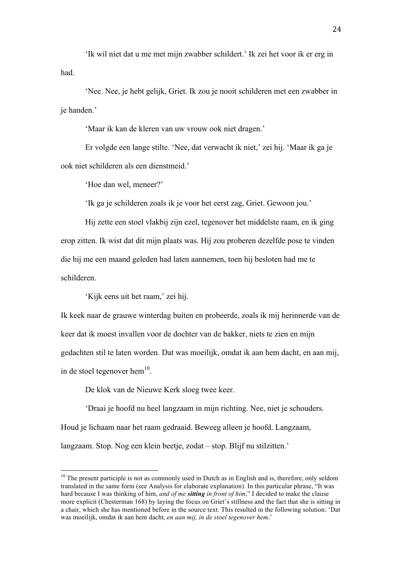'Ik wil niet dat u me met mijn zwabber schildert.' Ik zei het voor ik er erg in had.

'Nee. Nee, je hebt gelijk, Griet. Ik zou je nooit schilderen met een zwabber in je handen.'

'Maar ik kan de kleren van uw vrouw ook niet dragen.'

Er volgde een lange stilte. 'Nee, dat verwacht ik niet,' zei hij. 'Maar ik ga je ook niet schilderen als een dienstmeid.'

'Hoe dan wel, meneer?'

'Ik ga je schilderen zoals ik je voor het eerst zag, Griet. Gewoon jou.'

Hij zette een stoel vlakbij zijn ezel, tegenover het middelste raam, en ik ging erop zitten. Ik wist dat dit mijn plaats was. Hij zou proberen dezelfde pose te vinden die hij me een maand geleden had laten aannemen, toen hij besloten had me te schilderen.

'Kijk eens uit het raam,' zei hij.

Ik keek naar de grauwe winterdag buiten en probeerde, zoals ik mij herinnerde van de keer dat ik moest invallen voor de dochter van de bakker, niets te zien en mijn gedachten stil te laten worden. Dat was moeilijk, omdat ik aan hem dacht, en aan mij, in de stoel tegenover hem $^{10}$ .

De klok van de Nieuwe Kerk sloeg twee keer.

'Draai je hoofd nu heel langzaam in mijn richting. Nee, niet je schouders. Houd je lichaam naar het raam gedraaid. Beweeg alleen je hoofd. Langzaam, langzaam. Stop. Nog een klein beetje, zodat – stop. Blijf nu stilzitten.'

<sup>&</sup>lt;sup>10</sup> The present participle is not as commonly used in Dutch as in English and is, therefore, only seldom translated in the same form (see Analysis for elaborate explanation). In this particular phrase, "It was hard because I was thinking of him, *and of me sitting in front of him*," I decided to make the clause more explicit (Chesterman 168) by laying the focus on Griet's stillness and the fact that she is sitting in a chair, which she has mentioned before in the source text. This resulted in the following solution: 'Dat was moeilijk, omdat ik aan hem dacht, *en aan mij, in de stoel tegenover hem*.'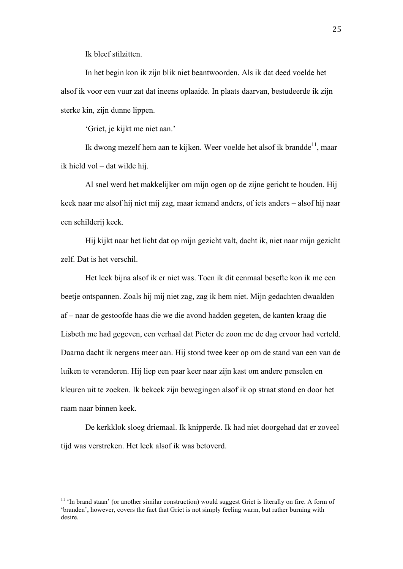Ik bleef stilzitten.

In het begin kon ik zijn blik niet beantwoorden. Als ik dat deed voelde het alsof ik voor een vuur zat dat ineens oplaaide. In plaats daarvan, bestudeerde ik zijn sterke kin, zijn dunne lippen.

'Griet, je kijkt me niet aan.'

Ik dwong mezelf hem aan te kijken. Weer voelde het alsof ik brandde<sup>11</sup>, maar ik hield vol – dat wilde hij.

Al snel werd het makkelijker om mijn ogen op de zijne gericht te houden. Hij keek naar me alsof hij niet mij zag, maar iemand anders, of íets anders – alsof hij naar een schilderij keek.

Hij kijkt naar het licht dat op mijn gezicht valt, dacht ik, niet naar mijn gezicht zelf. Dat is het verschil.

Het leek bijna alsof ik er niet was. Toen ik dit eenmaal besefte kon ik me een beetje ontspannen. Zoals hij mij niet zag, zag ik hem niet. Mijn gedachten dwaalden af – naar de gestoofde haas die we die avond hadden gegeten, de kanten kraag die Lisbeth me had gegeven, een verhaal dat Pieter de zoon me de dag ervoor had verteld. Daarna dacht ik nergens meer aan. Hij stond twee keer op om de stand van een van de luiken te veranderen. Hij liep een paar keer naar zijn kast om andere penselen en kleuren uit te zoeken. Ik bekeek zijn bewegingen alsof ik op straat stond en door het raam naar binnen keek.

De kerkklok sloeg driemaal. Ik knipperde. Ik had niet doorgehad dat er zoveel tijd was verstreken. Het leek alsof ik was betoverd.

 $11$  'In brand staan' (or another similar construction) would suggest Griet is literally on fire. A form of 'branden', however, covers the fact that Griet is not simply feeling warm, but rather burning with desire.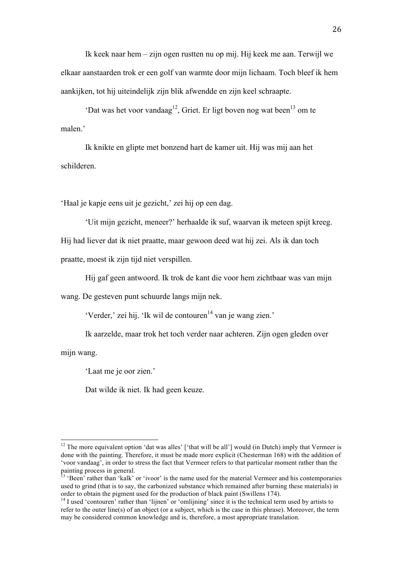Ik keek naar hem – zijn ogen rustten nu op mij. Hij keek me aan. Terwijl we elkaar aanstaarden trok er een golf van warmte door mijn lichaam. Toch bleef ik hem aankijken, tot hij uiteindelijk zijn blik afwendde en zijn keel schraapte.

'Dat was het voor vandaag<sup>12</sup>. Griet. Er ligt boven nog wat been<sup>13</sup> om te malen.'

Ik knikte en glipte met bonzend hart de kamer uit. Hij was mij aan het schilderen.

'Haal je kapje eens uit je gezicht,' zei hij op een dag.

'Uit mijn gezicht, meneer?' herhaalde ik suf, waarvan ik meteen spijt kreeg.

Hij had liever dat ik niet praatte, maar gewoon deed wat hij zei. Als ik dan toch

praatte, moest ik zijn tijd niet verspillen.

Hij gaf geen antwoord. Ik trok de kant die voor hem zichtbaar was van mijn

wang. De gesteven punt schuurde langs mijn nek.

'Verder,' zei hij. 'Ik wil de contouren $14$  van je wang zien.'

Ik aarzelde, maar trok het toch verder naar achteren. Zijn ogen gleden over

mijn wang.

'Laat me je oor zien.'

Dat wilde ik niet. Ik had geen keuze.

 $12$  The more equivalent option 'dat was alles' ['that will be all'] would (in Dutch) imply that Vermeer is done with the painting. Therefore, it must be made more explicit (Chesterman 168) with the addition of 'voor vandaag', in order to stress the fact that Vermeer refers to that particular moment rather than the painting process in general.

<sup>&</sup>lt;sup>13</sup> 'Been' rather than 'kalk' or 'ivoor' is the name used for the material Vermeer and his contemporaries used to grind (that is to say, the carbonized substance which remained after burning these materials) in order to obtain the pigment used for the production of black paint (Swillens 174).<br><sup>14</sup> I used 'contouren' rather than 'lijnen' or 'omlijning' since it is the technical term used by artists to

refer to the outer line(s) of an object (or a subject, which is the case in this phrase). Moreover, the term may be considered common knowledge and is, therefore, a most appropriate translation.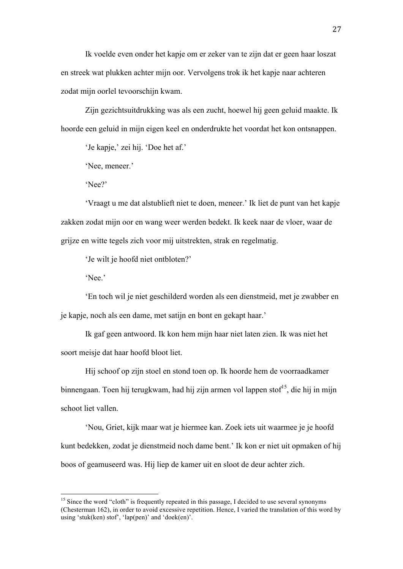Ik voelde even onder het kapje om er zeker van te zijn dat er geen haar loszat en streek wat plukken achter mijn oor. Vervolgens trok ik het kapje naar achteren zodat mijn oorlel tevoorschijn kwam.

Zijn gezichtsuitdrukking was als een zucht, hoewel hij geen geluid maakte. Ik hoorde een geluid in mijn eigen keel en onderdrukte het voordat het kon ontsnappen.

'Je kapje,' zei hij. 'Doe het af.'

'Nee, meneer.'

'Nee?'

'Vraagt u me dat alstublieft niet te doen, meneer.' Ik liet de punt van het kapje zakken zodat mijn oor en wang weer werden bedekt. Ik keek naar de vloer, waar de grijze en witte tegels zich voor mij uitstrekten, strak en regelmatig.

'Je wilt je hoofd niet ontbloten?'

'Nee.'

'En toch wil je niet geschilderd worden als een dienstmeid, met je zwabber en je kapje, noch als een dame, met satijn en bont en gekapt haar.'

Ik gaf geen antwoord. Ik kon hem mijn haar niet laten zien. Ik was niet het soort meisje dat haar hoofd bloot liet.

Hij schoof op zijn stoel en stond toen op. Ik hoorde hem de voorraadkamer binnengaan. Toen hij terugkwam, had hij zijn armen vol lappen stof<sup>15</sup>, die hij in mijn schoot liet vallen.

'Nou, Griet, kijk maar wat je hiermee kan. Zoek iets uit waarmee je je hoofd kunt bedekken, zodat je dienstmeid noch dame bent.' Ik kon er niet uit opmaken of hij boos of geamuseerd was. Hij liep de kamer uit en sloot de deur achter zich.

<sup>&</sup>lt;sup>15</sup> Since the word "cloth" is frequently repeated in this passage, I decided to use several synonyms (Chesterman 162), in order to avoid excessive repetition. Hence, I varied the translation of this word by using 'stuk(ken) stof', 'lap(pen)' and 'doek(en)'.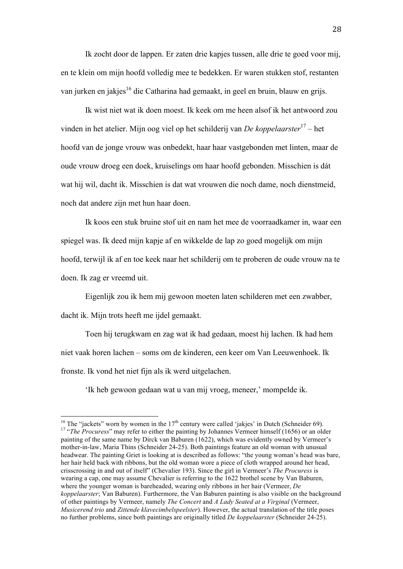Ik zocht door de lappen. Er zaten drie kapjes tussen, alle drie te goed voor mij, en te klein om mijn hoofd volledig mee te bedekken. Er waren stukken stof, restanten van jurken en jakjes<sup>16</sup> die Catharina had gemaakt, in geel en bruin, blauw en grijs.

Ik wist niet wat ik doen moest. Ik keek om me heen alsof ik het antwoord zou vinden in het atelier. Mijn oog viel op het schilderij van *De koppelaarster*<sup>17</sup> – het hoofd van de jonge vrouw was onbedekt, haar haar vastgebonden met linten, maar de oude vrouw droeg een doek, kruiselings om haar hoofd gebonden. Misschien is dát wat hij wil, dacht ik. Misschien is dat wat vrouwen die noch dame, noch dienstmeid, noch dat andere zijn met hun haar doen.

Ik koos een stuk bruine stof uit en nam het mee de voorraadkamer in, waar een spiegel was. Ik deed mijn kapje af en wikkelde de lap zo goed mogelijk om mijn hoofd, terwijl ik af en toe keek naar het schilderij om te proberen de oude vrouw na te doen. Ik zag er vreemd uit.

Eigenlijk zou ik hem mij gewoon moeten laten schilderen met een zwabber, dacht ik. Mijn trots heeft me ijdel gemaakt.

Toen hij terugkwam en zag wat ik had gedaan, moest hij lachen. Ik had hem niet vaak horen lachen – soms om de kinderen, een keer om Van Leeuwenhoek. Ik fronste. Ik vond het niet fijn als ik werd uitgelachen.

'Ik heb gewoon gedaan wat u van mij vroeg, meneer,' mompelde ik.

<sup>&</sup>lt;sup>16</sup> The "jackets" worn by women in the  $17<sup>th</sup>$  century were called 'jakjes' in Dutch (Schneider 69).<br><sup>17</sup> "*The Procuress*" may refer to either the painting by Johannes Vermeer himself (1656) or an older painting of the same name by Dirck van Baburen (1622), which was evidently owned by Vermeer's mother-in-law, Maria Thins (Schneider 24-25). Both paintings feature an old woman with unusual headwear. The painting Griet is looking at is described as follows: "the young woman's head was bare, her hair held back with ribbons, but the old woman wore a piece of cloth wrapped around her head, crisscrossing in and out of itself" (Chevalier 193). Since the girl in Vermeer's *The Procuress* is wearing a cap, one may assume Chevalier is referring to the 1622 brothel scene by Van Baburen, where the younger woman is bareheaded, wearing only ribbons in her hair (Vermeer, *De koppelaarster*; Van Baburen). Furthermore, the Van Baburen painting is also visible on the background of other paintings by Vermeer, namely *The Concert* and *A Lady Seated at a Virginal* (Vermeer, *Musicerend trio* and *Zittende klavecimbelspeelster*). However, the actual translation of the title poses no further problems, since both paintings are originally titled *De koppelaarster* (Schneider 24-25).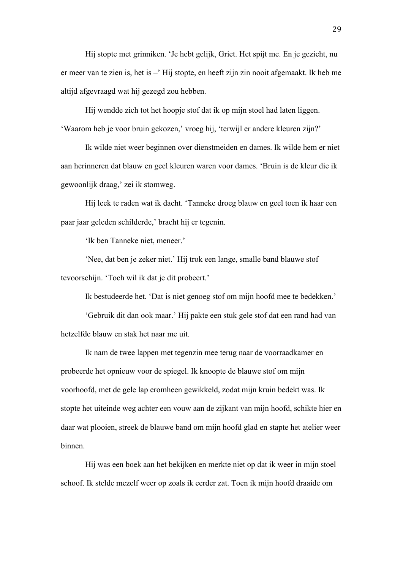Hij stopte met grinniken. 'Je hebt gelijk, Griet. Het spijt me. En je gezicht, nu er meer van te zien is, het is –' Hij stopte, en heeft zijn zin nooit afgemaakt. Ik heb me altijd afgevraagd wat hij gezegd zou hebben.

Hij wendde zich tot het hoopje stof dat ik op mijn stoel had laten liggen. 'Waarom heb je voor bruin gekozen,' vroeg hij, 'terwijl er andere kleuren zijn?'

Ik wilde niet weer beginnen over dienstmeiden en dames. Ik wilde hem er niet aan herinneren dat blauw en geel kleuren waren voor dames. 'Bruin is de kleur die ik gewoonlijk draag,' zei ik stomweg.

Hij leek te raden wat ik dacht. 'Tanneke droeg blauw en geel toen ik haar een paar jaar geleden schilderde,' bracht hij er tegenin.

'Ik ben Tanneke niet, meneer.'

'Nee, dat ben je zeker niet.' Hij trok een lange, smalle band blauwe stof tevoorschijn. 'Toch wil ik dat je dit probeert.'

Ik bestudeerde het. 'Dat is niet genoeg stof om mijn hoofd mee te bedekken.'

'Gebruik dit dan ook maar.' Hij pakte een stuk gele stof dat een rand had van hetzelfde blauw en stak het naar me uit.

Ik nam de twee lappen met tegenzin mee terug naar de voorraadkamer en probeerde het opnieuw voor de spiegel. Ik knoopte de blauwe stof om mijn voorhoofd, met de gele lap eromheen gewikkeld, zodat mijn kruin bedekt was. Ik stopte het uiteinde weg achter een vouw aan de zijkant van mijn hoofd, schikte hier en daar wat plooien, streek de blauwe band om mijn hoofd glad en stapte het atelier weer binnen.

Hij was een boek aan het bekijken en merkte niet op dat ik weer in mijn stoel schoof. Ik stelde mezelf weer op zoals ik eerder zat. Toen ik mijn hoofd draaide om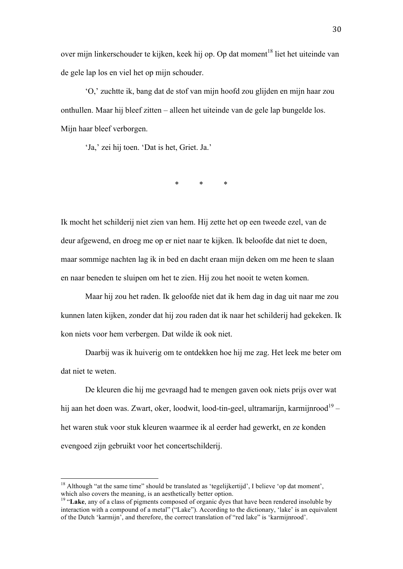over mijn linkerschouder te kijken, keek hij op. Op dat moment<sup>18</sup> liet het uiteinde van de gele lap los en viel het op mijn schouder.

'O,' zuchtte ik, bang dat de stof van mijn hoofd zou glijden en mijn haar zou onthullen. Maar hij bleef zitten – alleen het uiteinde van de gele lap bungelde los. Mijn haar bleef verborgen.

'Ja,' zei hij toen. 'Dat is het, Griet. Ja.'

\* \* \*

Ik mocht het schilderij niet zien van hem. Hij zette het op een tweede ezel, van de deur afgewend, en droeg me op er niet naar te kijken. Ik beloofde dat niet te doen, maar sommige nachten lag ik in bed en dacht eraan mijn deken om me heen te slaan en naar beneden te sluipen om het te zien. Hij zou het nooit te weten komen.

Maar hij zou het raden. Ik geloofde niet dat ik hem dag in dag uit naar me zou kunnen laten kijken, zonder dat hij zou raden dat ik naar het schilderij had gekeken. Ik kon niets voor hem verbergen. Dat wilde ik ook niet.

Daarbij was ik huiverig om te ontdekken hoe hij me zag. Het leek me beter om dat niet te weten.

De kleuren die hij me gevraagd had te mengen gaven ook niets prijs over wat hij aan het doen was. Zwart, oker, loodwit, lood-tin-geel, ultramarijn, karmijnrood<sup>19</sup> – het waren stuk voor stuk kleuren waarmee ik al eerder had gewerkt, en ze konden evengoed zijn gebruikt voor het concertschilderij.

<sup>&</sup>lt;sup>18</sup> Although "at the same time" should be translated as 'tegelijkertijd', I believe 'op dat moment', which also covers the meaning, is an aesthetically better option.

<sup>&</sup>lt;sup>19</sup> "Lake, any of a class of pigments composed of organic dyes that have been rendered insoluble by interaction with a compound of a metal" ("Lake"). According to the dictionary, 'lake' is an equivalent of the Dutch 'karmijn', and therefore, the correct translation of "red lake" is 'karmijnrood'.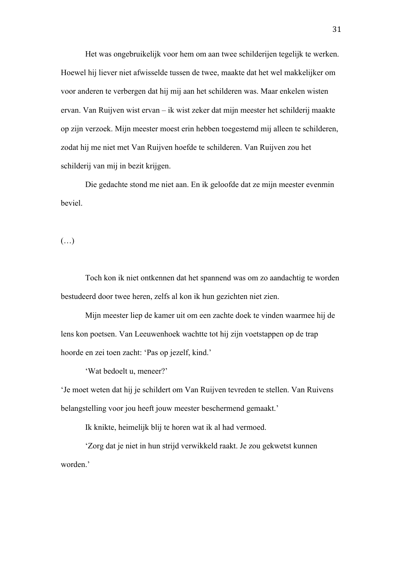Het was ongebruikelijk voor hem om aan twee schilderijen tegelijk te werken. Hoewel hij liever niet afwisselde tussen de twee, maakte dat het wel makkelijker om voor anderen te verbergen dat hij mij aan het schilderen was. Maar enkelen wisten ervan. Van Ruijven wist ervan – ik wist zeker dat mijn meester het schilderij maakte op zijn verzoek. Mijn meester moest erin hebben toegestemd mij alleen te schilderen, zodat hij me niet met Van Ruijven hoefde te schilderen. Van Ruijven zou het schilderij van mij in bezit krijgen.

Die gedachte stond me niet aan. En ik geloofde dat ze mijn meester evenmin beviel.

 $(\ldots)$ 

Toch kon ik niet ontkennen dat het spannend was om zo aandachtig te worden bestudeerd door twee heren, zelfs al kon ik hun gezichten niet zien.

Mijn meester liep de kamer uit om een zachte doek te vinden waarmee hij de lens kon poetsen. Van Leeuwenhoek wachtte tot hij zijn voetstappen op de trap hoorde en zei toen zacht: 'Pas op jezelf, kind.'

'Wat bedoelt u, meneer?'

'Je moet weten dat hij je schildert om Van Ruijven tevreden te stellen. Van Ruivens belangstelling voor jou heeft jouw meester beschermend gemaakt.'

Ik knikte, heimelijk blij te horen wat ik al had vermoed.

'Zorg dat je niet in hun strijd verwikkeld raakt. Je zou gekwetst kunnen worden.'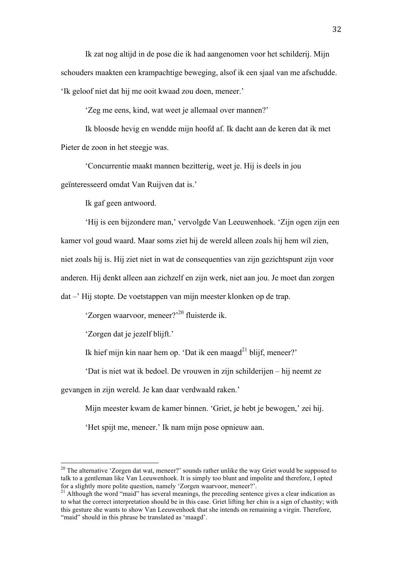Ik zat nog altijd in de pose die ik had aangenomen voor het schilderij. Mijn schouders maakten een krampachtige beweging, alsof ik een sjaal van me afschudde. 'Ik geloof niet dat hij me ooit kwaad zou doen, meneer.'

'Zeg me eens, kind, wat weet je allemaal over mannen?'

Ik bloosde hevig en wendde mijn hoofd af. Ik dacht aan de keren dat ik met Pieter de zoon in het steegje was.

'Concurrentie maakt mannen bezitterig, weet je. Hij is deels in jou geïnteresseerd omdat Van Ruijven dat is.'

Ik gaf geen antwoord.

'Hij is een bijzondere man,' vervolgde Van Leeuwenhoek. 'Zijn ogen zijn een

kamer vol goud waard. Maar soms ziet hij de wereld alleen zoals hij hem wíl zien,

niet zoals hij is. Hij ziet niet in wat de consequenties van zijn gezichtspunt zijn voor

anderen. Hij denkt alleen aan zichzelf en zijn werk, niet aan jou. Je moet dan zorgen

dat –' Hij stopte. De voetstappen van mijn meester klonken op de trap.

'Zorgen waarvoor, meneer?'20 fluisterde ik.

'Zorgen dat je jezelf blijft.'

Ik hief mijn kin naar hem op. 'Dat ik een maagd $^{21}$  blijf, meneer?'

'Dat is niet wat ik bedoel. De vrouwen in zijn schilderijen – hij neemt ze

gevangen in zijn wereld. Je kan daar verdwaald raken.'

Mijn meester kwam de kamer binnen. 'Griet, je hebt je bewogen,' zei hij.

'Het spijt me, meneer.' Ik nam mijn pose opnieuw aan.

<sup>&</sup>lt;sup>20</sup> The alternative 'Zorgen dat wat, meneer?' sounds rather unlike the way Griet would be supposed to talk to a gentleman like Van Leeuwenhoek. It is simply too blunt and impolite and therefore, I opted for a slightly more polite question, namely 'Zorgen waarvoor, meneer?'.

<sup>&</sup>lt;sup>21</sup> Although the word "maid" has several meanings, the preceding sentence gives a clear indication as to what the correct interpretation should be in this case. Griet lifting her chin is a sign of chastity; with this gesture she wants to show Van Leeuwenhoek that she intends on remaining a virgin. Therefore, "maid" should in this phrase be translated as 'maagd'.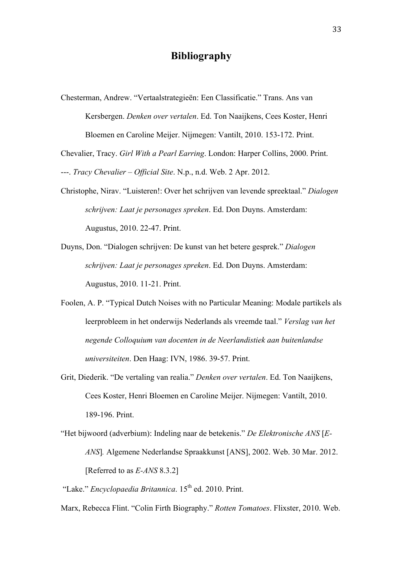# **Bibliography**

Chesterman, Andrew. "Vertaalstrategieën: Een Classificatie." Trans. Ans van

Kersbergen. *Denken over vertalen*. Ed. Ton Naaijkens, Cees Koster, Henri Bloemen en Caroline Meijer. Nijmegen: Vantilt, 2010. 153-172. Print.

Chevalier, Tracy. *Girl With a Pearl Earring*. London: Harper Collins, 2000. Print.

- ---. *Tracy Chevalier – Official Site*. N.p., n.d. Web. 2 Apr. 2012.
- Christophe, Nirav. "Luisteren!: Over het schrijven van levende spreektaal." *Dialogen schrijven: Laat je personages spreken*. Ed. Don Duyns. Amsterdam: Augustus, 2010. 22-47. Print.

Duyns, Don. "Dialogen schrijven: De kunst van het betere gesprek." *Dialogen schrijven: Laat je personages spreken*. Ed. Don Duyns. Amsterdam: Augustus, 2010. 11-21. Print.

- Foolen, A. P. "Typical Dutch Noises with no Particular Meaning: Modale partikels als leerprobleem in het onderwijs Nederlands als vreemde taal." *Verslag van het negende Colloquium van docenten in de Neerlandistiek aan buitenlandse universiteiten*. Den Haag: IVN, 1986. 39-57. Print.
- Grit, Diederik. "De vertaling van realia." *Denken over vertalen*. Ed. Ton Naaijkens, Cees Koster, Henri Bloemen en Caroline Meijer. Nijmegen: Vantilt, 2010. 189-196. Print.
- "Het bijwoord (adverbium): Indeling naar de betekenis." *De Elektronische ANS* [*E-ANS*]*.* Algemene Nederlandse Spraakkunst [ANS], 2002. Web. 30 Mar. 2012. [Referred to as *E-ANS* 8.3.2]
- "Lake." *Encyclopaedia Britannica*. 15<sup>th</sup> ed. 2010. Print.

Marx, Rebecca Flint. "Colin Firth Biography." *Rotten Tomatoes*. Flixster, 2010. Web.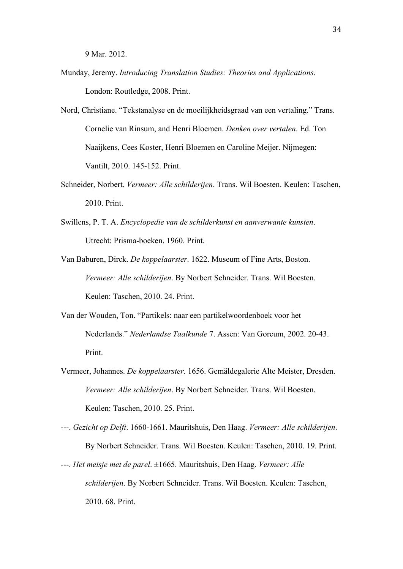- Munday, Jeremy. *Introducing Translation Studies: Theories and Applications*. London: Routledge, 2008. Print.
- Nord, Christiane. "Tekstanalyse en de moeilijkheidsgraad van een vertaling." Trans. Cornelie van Rinsum, and Henri Bloemen. *Denken over vertalen*. Ed. Ton Naaijkens, Cees Koster, Henri Bloemen en Caroline Meijer. Nijmegen: Vantilt, 2010. 145-152. Print.
- Schneider, Norbert. *Vermeer: Alle schilderijen*. Trans. Wil Boesten. Keulen: Taschen, 2010. Print.
- Swillens, P. T. A. *Encyclopedie van de schilderkunst en aanverwante kunsten*. Utrecht: Prisma-boeken, 1960. Print.
- Van Baburen, Dirck. *De koppelaarster*. 1622. Museum of Fine Arts, Boston. *Vermeer: Alle schilderijen*. By Norbert Schneider. Trans. Wil Boesten. Keulen: Taschen, 2010. 24. Print.
- Van der Wouden, Ton. "Partikels: naar een partikelwoordenboek voor het Nederlands." *Nederlandse Taalkunde* 7. Assen: Van Gorcum, 2002. 20-43. Print.
- Vermeer, Johannes. *De koppelaarster*. 1656. Gemäldegalerie Alte Meister, Dresden. *Vermeer: Alle schilderijen*. By Norbert Schneider. Trans. Wil Boesten. Keulen: Taschen, 2010. 25. Print.
- ---. *Gezicht op Delft*. 1660-1661. Mauritshuis, Den Haag. *Vermeer: Alle schilderijen*. By Norbert Schneider. Trans. Wil Boesten. Keulen: Taschen, 2010. 19. Print.
- ---. *Het meisje met de parel*. ±1665. Mauritshuis, Den Haag. *Vermeer: Alle schilderijen*. By Norbert Schneider. Trans. Wil Boesten. Keulen: Taschen, 2010. 68. Print.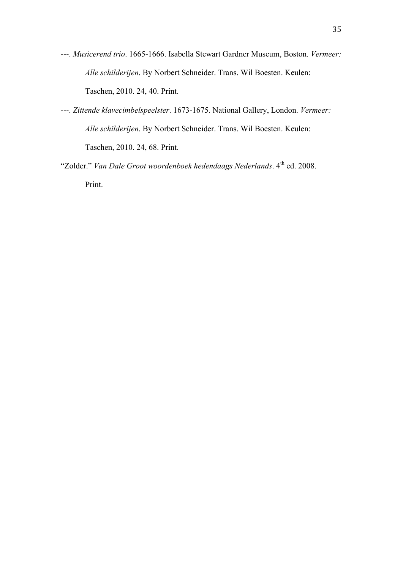- ---. *Musicerend trio*. 1665-1666. Isabella Stewart Gardner Museum, Boston. *Vermeer: Alle schilderijen*. By Norbert Schneider. Trans. Wil Boesten. Keulen: Taschen, 2010. 24, 40. Print.
- ---. *Zittende klavecimbelspeelster*. 1673-1675. National Gallery, London. *Vermeer: Alle schilderijen*. By Norbert Schneider. Trans. Wil Boesten. Keulen: Taschen, 2010. 24, 68. Print.
- "Zolder." Van Dale Groot woordenboek hedendaags Nederlands. 4<sup>th</sup> ed. 2008. Print.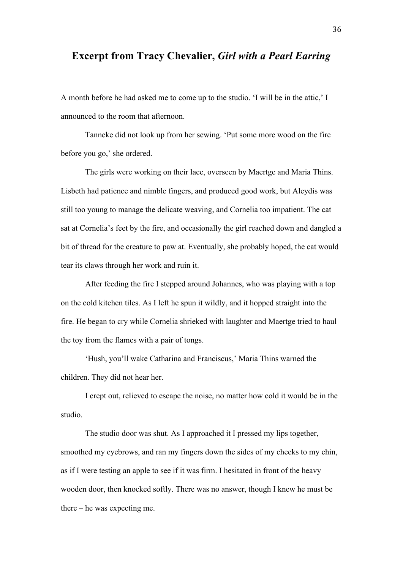### **Excerpt from Tracy Chevalier,** *Girl with a Pearl Earring*

A month before he had asked me to come up to the studio. 'I will be in the attic,' I announced to the room that afternoon.

Tanneke did not look up from her sewing. 'Put some more wood on the fire before you go,' she ordered.

The girls were working on their lace, overseen by Maertge and Maria Thins. Lisbeth had patience and nimble fingers, and produced good work, but Aleydis was still too young to manage the delicate weaving, and Cornelia too impatient. The cat sat at Cornelia's feet by the fire, and occasionally the girl reached down and dangled a bit of thread for the creature to paw at. Eventually, she probably hoped, the cat would tear its claws through her work and ruin it.

After feeding the fire I stepped around Johannes, who was playing with a top on the cold kitchen tiles. As I left he spun it wildly, and it hopped straight into the fire. He began to cry while Cornelia shrieked with laughter and Maertge tried to haul the toy from the flames with a pair of tongs.

'Hush, you'll wake Catharina and Franciscus,' Maria Thins warned the children. They did not hear her.

I crept out, relieved to escape the noise, no matter how cold it would be in the studio.

The studio door was shut. As I approached it I pressed my lips together, smoothed my eyebrows, and ran my fingers down the sides of my cheeks to my chin, as if I were testing an apple to see if it was firm. I hesitated in front of the heavy wooden door, then knocked softly. There was no answer, though I knew he must be there – he was expecting me.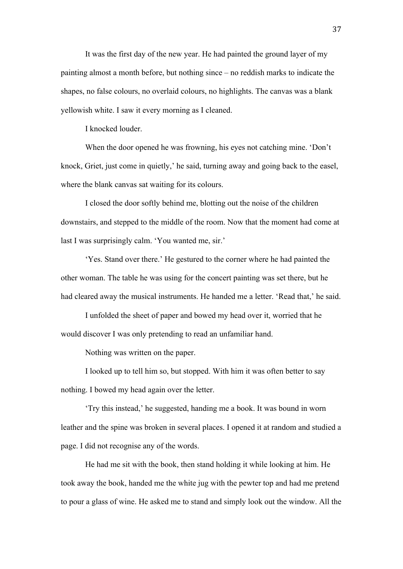It was the first day of the new year. He had painted the ground layer of my painting almost a month before, but nothing since – no reddish marks to indicate the shapes, no false colours, no overlaid colours, no highlights. The canvas was a blank yellowish white. I saw it every morning as I cleaned.

I knocked louder.

When the door opened he was frowning, his eyes not catching mine. 'Don't knock, Griet, just come in quietly,' he said, turning away and going back to the easel, where the blank canvas sat waiting for its colours.

I closed the door softly behind me, blotting out the noise of the children downstairs, and stepped to the middle of the room. Now that the moment had come at last I was surprisingly calm. 'You wanted me, sir.'

'Yes. Stand over there.' He gestured to the corner where he had painted the other woman. The table he was using for the concert painting was set there, but he had cleared away the musical instruments. He handed me a letter. 'Read that,' he said.

I unfolded the sheet of paper and bowed my head over it, worried that he would discover I was only pretending to read an unfamiliar hand.

Nothing was written on the paper.

I looked up to tell him so, but stopped. With him it was often better to say nothing. I bowed my head again over the letter.

'Try this instead,' he suggested, handing me a book. It was bound in worn leather and the spine was broken in several places. I opened it at random and studied a page. I did not recognise any of the words.

He had me sit with the book, then stand holding it while looking at him. He took away the book, handed me the white jug with the pewter top and had me pretend to pour a glass of wine. He asked me to stand and simply look out the window. All the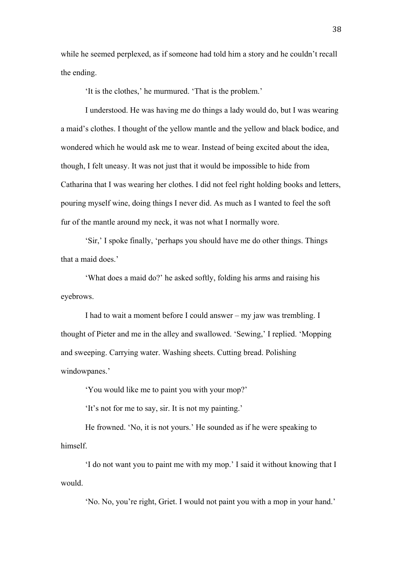while he seemed perplexed, as if someone had told him a story and he couldn't recall the ending.

'It is the clothes,' he murmured. 'That is the problem.'

I understood. He was having me do things a lady would do, but I was wearing a maid's clothes. I thought of the yellow mantle and the yellow and black bodice, and wondered which he would ask me to wear. Instead of being excited about the idea, though, I felt uneasy. It was not just that it would be impossible to hide from Catharina that I was wearing her clothes. I did not feel right holding books and letters, pouring myself wine, doing things I never did. As much as I wanted to feel the soft fur of the mantle around my neck, it was not what I normally wore.

'Sir,' I spoke finally, 'perhaps you should have me do other things. Things that a maid does.'

'What does a maid do?' he asked softly, folding his arms and raising his eyebrows.

I had to wait a moment before I could answer – my jaw was trembling. I thought of Pieter and me in the alley and swallowed. 'Sewing,' I replied. 'Mopping and sweeping. Carrying water. Washing sheets. Cutting bread. Polishing windowpanes.'

'You would like me to paint you with your mop?'

'It's not for me to say, sir. It is not my painting.'

He frowned. 'No, it is not yours.' He sounded as if he were speaking to himself.

'I do not want you to paint me with my mop.' I said it without knowing that I would.

'No. No, you're right, Griet. I would not paint you with a mop in your hand.'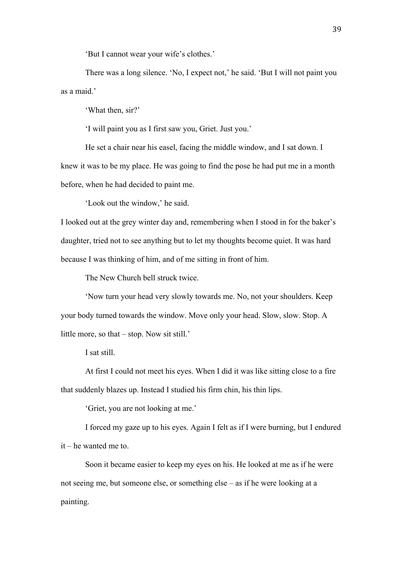'But I cannot wear your wife's clothes.'

There was a long silence. 'No, I expect not,' he said. 'But I will not paint you as a maid.'

'What then, sir?'

'I will paint you as I first saw you, Griet. Just you.'

He set a chair near his easel, facing the middle window, and I sat down. I knew it was to be my place. He was going to find the pose he had put me in a month before, when he had decided to paint me.

'Look out the window,' he said.

I looked out at the grey winter day and, remembering when I stood in for the baker's daughter, tried not to see anything but to let my thoughts become quiet. It was hard because I was thinking of him, and of me sitting in front of him.

The New Church bell struck twice.

'Now turn your head very slowly towards me. No, not your shoulders. Keep your body turned towards the window. Move only your head. Slow, slow. Stop. A little more, so that – stop. Now sit still.'

I sat still.

At first I could not meet his eyes. When I did it was like sitting close to a fire that suddenly blazes up. Instead I studied his firm chin, his thin lips.

'Griet, you are not looking at me.'

I forced my gaze up to his eyes. Again I felt as if I were burning, but I endured it – he wanted me to.

Soon it became easier to keep my eyes on his. He looked at me as if he were not seeing me, but someone else, or something else – as if he were looking at a painting.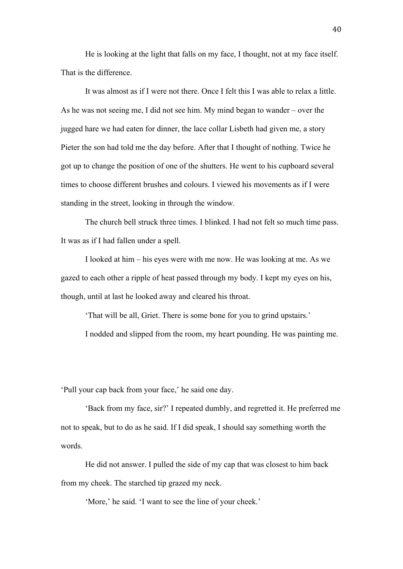He is looking at the light that falls on my face, I thought, not at my face itself. That is the difference.

It was almost as if I were not there. Once I felt this I was able to relax a little. As he was not seeing me, I did not see him. My mind began to wander – over the jugged hare we had eaten for dinner, the lace collar Lisbeth had given me, a story Pieter the son had told me the day before. After that I thought of nothing. Twice he got up to change the position of one of the shutters. He went to his cupboard several times to choose different brushes and colours. I viewed his movements as if I were standing in the street, looking in through the window.

The church bell struck three times. I blinked. I had not felt so much time pass. It was as if I had fallen under a spell.

I looked at him – his eyes were with me now. He was looking at me. As we gazed to each other a ripple of heat passed through my body. I kept my eyes on his, though, until at last he looked away and cleared his throat.

'That will be all, Griet. There is some bone for you to grind upstairs.' I nodded and slipped from the room, my heart pounding. He was painting me.

'Pull your cap back from your face,' he said one day.

'Back from my face, sir?' I repeated dumbly, and regretted it. He preferred me not to speak, but to do as he said. If I did speak, I should say something worth the words.

He did not answer. I pulled the side of my cap that was closest to him back from my cheek. The starched tip grazed my neck.

'More,' he said. 'I want to see the line of your cheek.'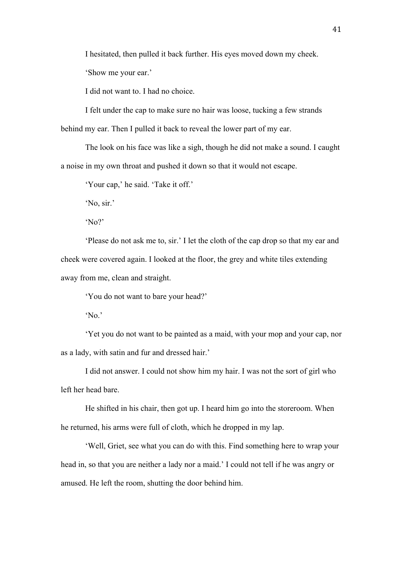I hesitated, then pulled it back further. His eyes moved down my cheek.

'Show me your ear.'

I did not want to. I had no choice.

I felt under the cap to make sure no hair was loose, tucking a few strands behind my ear. Then I pulled it back to reveal the lower part of my ear.

The look on his face was like a sigh, though he did not make a sound. I caught a noise in my own throat and pushed it down so that it would not escape.

'Your cap,' he said. 'Take it off.'

'No, sir.'

'No?'

'Please do not ask me to, sir.' I let the cloth of the cap drop so that my ear and cheek were covered again. I looked at the floor, the grey and white tiles extending away from me, clean and straight.

'You do not want to bare your head?'

'No.'

'Yet you do not want to be painted as a maid, with your mop and your cap, nor as a lady, with satin and fur and dressed hair.'

I did not answer. I could not show him my hair. I was not the sort of girl who left her head bare.

He shifted in his chair, then got up. I heard him go into the storeroom. When he returned, his arms were full of cloth, which he dropped in my lap.

'Well, Griet, see what you can do with this. Find something here to wrap your head in, so that you are neither a lady nor a maid.' I could not tell if he was angry or amused. He left the room, shutting the door behind him.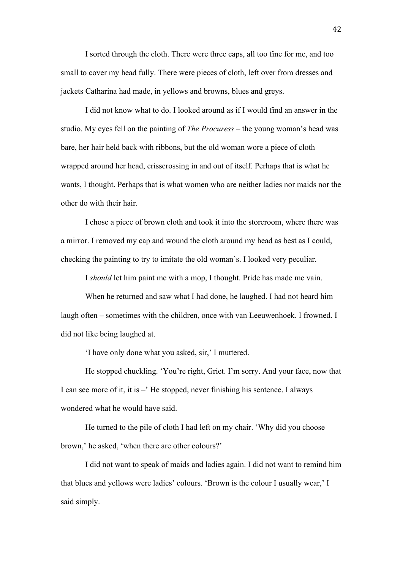I sorted through the cloth. There were three caps, all too fine for me, and too small to cover my head fully. There were pieces of cloth, left over from dresses and jackets Catharina had made, in yellows and browns, blues and greys.

I did not know what to do. I looked around as if I would find an answer in the studio. My eyes fell on the painting of *The Procuress* – the young woman's head was bare, her hair held back with ribbons, but the old woman wore a piece of cloth wrapped around her head, crisscrossing in and out of itself. Perhaps that is what he wants, I thought. Perhaps that is what women who are neither ladies nor maids nor the other do with their hair.

I chose a piece of brown cloth and took it into the storeroom, where there was a mirror. I removed my cap and wound the cloth around my head as best as I could, checking the painting to try to imitate the old woman's. I looked very peculiar.

I *should* let him paint me with a mop, I thought. Pride has made me vain.

When he returned and saw what I had done, he laughed. I had not heard him laugh often – sometimes with the children, once with van Leeuwenhoek. I frowned. I did not like being laughed at.

'I have only done what you asked, sir,' I muttered.

He stopped chuckling. 'You're right, Griet. I'm sorry. And your face, now that I can see more of it, it is –' He stopped, never finishing his sentence. I always wondered what he would have said.

He turned to the pile of cloth I had left on my chair. 'Why did you choose brown,' he asked, 'when there are other colours?'

I did not want to speak of maids and ladies again. I did not want to remind him that blues and yellows were ladies' colours. 'Brown is the colour I usually wear,' I said simply.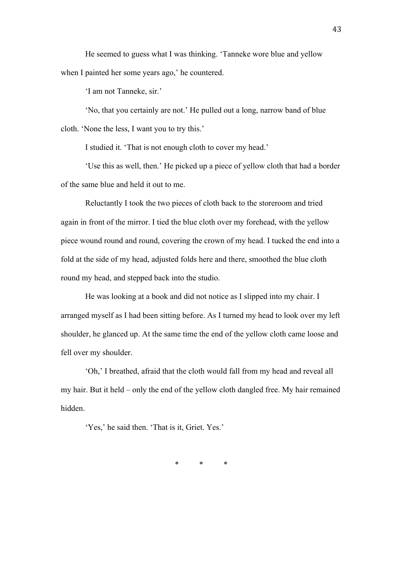He seemed to guess what I was thinking. 'Tanneke wore blue and yellow when I painted her some years ago,' he countered.

'I am not Tanneke, sir.'

'No, that you certainly are not.' He pulled out a long, narrow band of blue cloth. 'None the less, I want you to try this.'

I studied it. 'That is not enough cloth to cover my head.'

'Use this as well, then.' He picked up a piece of yellow cloth that had a border of the same blue and held it out to me.

Reluctantly I took the two pieces of cloth back to the storeroom and tried again in front of the mirror. I tied the blue cloth over my forehead, with the yellow piece wound round and round, covering the crown of my head. I tucked the end into a fold at the side of my head, adjusted folds here and there, smoothed the blue cloth round my head, and stepped back into the studio.

He was looking at a book and did not notice as I slipped into my chair. I arranged myself as I had been sitting before. As I turned my head to look over my left shoulder, he glanced up. At the same time the end of the yellow cloth came loose and fell over my shoulder.

'Oh,' I breathed, afraid that the cloth would fall from my head and reveal all my hair. But it held – only the end of the yellow cloth dangled free. My hair remained hidden.

'Yes,' he said then. 'That is it, Griet. Yes.'

\* \* \*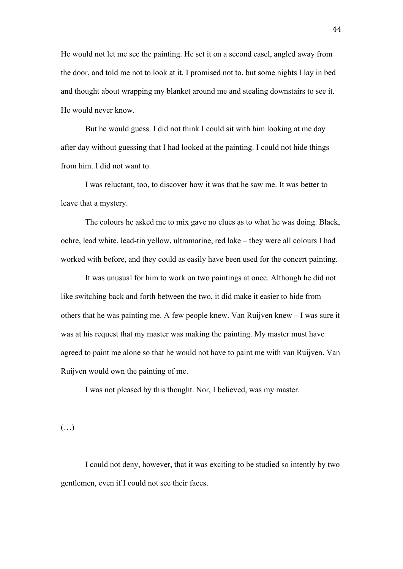He would not let me see the painting. He set it on a second easel, angled away from the door, and told me not to look at it. I promised not to, but some nights I lay in bed and thought about wrapping my blanket around me and stealing downstairs to see it. He would never know.

But he would guess. I did not think I could sit with him looking at me day after day without guessing that I had looked at the painting. I could not hide things from him. I did not want to.

I was reluctant, too, to discover how it was that he saw me. It was better to leave that a mystery.

The colours he asked me to mix gave no clues as to what he was doing. Black, ochre, lead white, lead-tin yellow, ultramarine, red lake – they were all colours I had worked with before, and they could as easily have been used for the concert painting.

It was unusual for him to work on two paintings at once. Although he did not like switching back and forth between the two, it did make it easier to hide from others that he was painting me. A few people knew. Van Ruijven knew – I was sure it was at his request that my master was making the painting. My master must have agreed to paint me alone so that he would not have to paint me with van Ruijven. Van Ruijven would own the painting of me.

I was not pleased by this thought. Nor, I believed, was my master.

(…)

I could not deny, however, that it was exciting to be studied so intently by two gentlemen, even if I could not see their faces.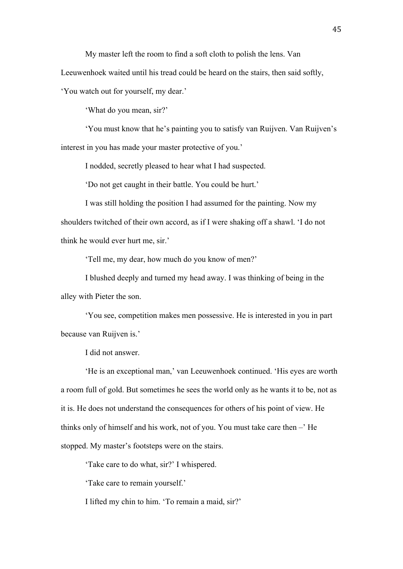My master left the room to find a soft cloth to polish the lens. Van

Leeuwenhoek waited until his tread could be heard on the stairs, then said softly,

'You watch out for yourself, my dear.'

'What do you mean, sir?'

'You must know that he's painting you to satisfy van Ruijven. Van Ruijven's interest in you has made your master protective of you.'

I nodded, secretly pleased to hear what I had suspected.

'Do not get caught in their battle. You could be hurt.'

I was still holding the position I had assumed for the painting. Now my shoulders twitched of their own accord, as if I were shaking off a shawl. 'I do not think he would ever hurt me, sir.'

'Tell me, my dear, how much do you know of men?'

I blushed deeply and turned my head away. I was thinking of being in the alley with Pieter the son.

'You see, competition makes men possessive. He is interested in you in part because van Ruijven is.'

I did not answer.

'He is an exceptional man,' van Leeuwenhoek continued. 'His eyes are worth a room full of gold. But sometimes he sees the world only as he wants it to be, not as it is. He does not understand the consequences for others of his point of view. He thinks only of himself and his work, not of you. You must take care then –' He stopped. My master's footsteps were on the stairs.

'Take care to do what, sir?' I whispered.

'Take care to remain yourself.'

I lifted my chin to him. 'To remain a maid, sir?'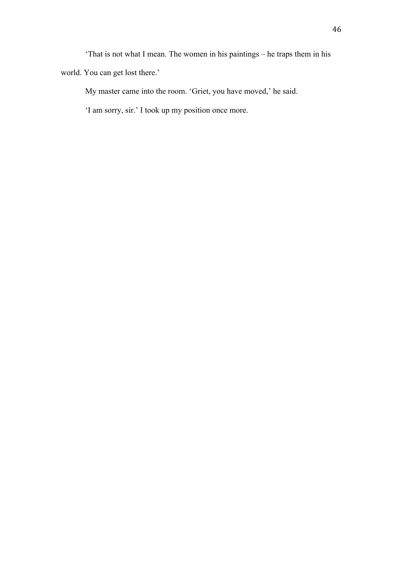My master came into the room. 'Griet, you have moved,' he said.

'I am sorry, sir.' I took up my position once more.